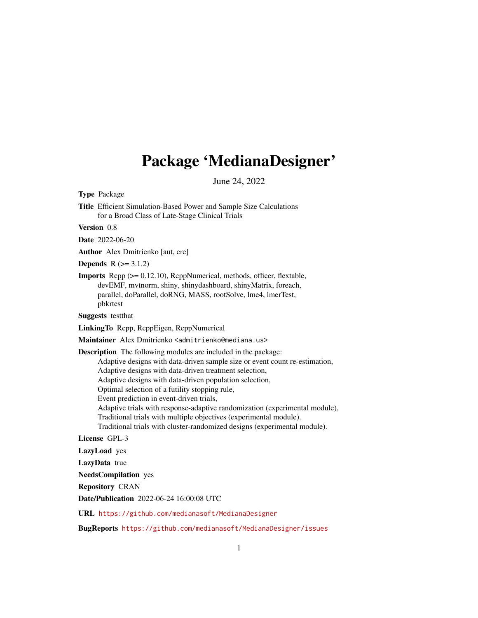# Package 'MedianaDesigner'

June 24, 2022

Type Package

Title Efficient Simulation-Based Power and Sample Size Calculations for a Broad Class of Late-Stage Clinical Trials

Version 0.8

Date 2022-06-20

Author Alex Dmitrienko [aut, cre]

**Depends**  $R (= 3.1.2)$ 

Imports Rcpp (>= 0.12.10), RcppNumerical, methods, officer, flextable, devEMF, mvtnorm, shiny, shinydashboard, shinyMatrix, foreach, parallel, doParallel, doRNG, MASS, rootSolve, lme4, lmerTest, pbkrtest

Suggests testthat

LinkingTo Rcpp, RcppEigen, RcppNumerical

Maintainer Alex Dmitrienko <admitrienko@mediana.us>

Description The following modules are included in the package:

Adaptive designs with data-driven sample size or event count re-estimation,

Adaptive designs with data-driven treatment selection,

Adaptive designs with data-driven population selection,

Optimal selection of a futility stopping rule,

Event prediction in event-driven trials,

Adaptive trials with response-adaptive randomization (experimental module),

Traditional trials with multiple objectives (experimental module).

Traditional trials with cluster-randomized designs (experimental module).

License GPL-3

LazyLoad yes

LazyData true

NeedsCompilation yes

Repository CRAN

Date/Publication 2022-06-24 16:00:08 UTC

URL <https://github.com/medianasoft/MedianaDesigner>

BugReports <https://github.com/medianasoft/MedianaDesigner/issues>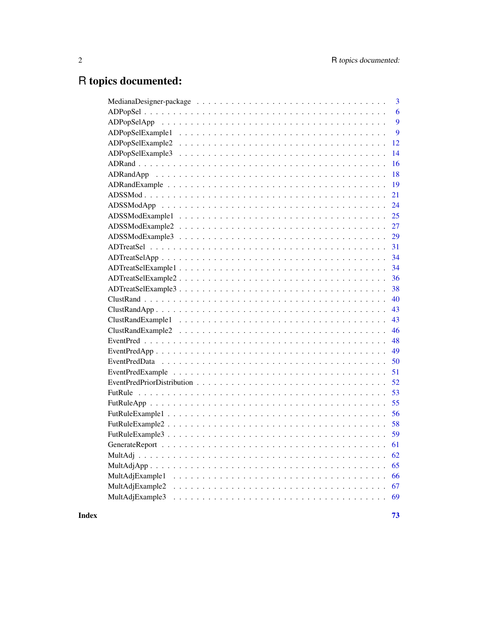# R topics documented:

| $\overline{\mathbf{3}}$ |
|-------------------------|
| 6                       |
| 9                       |
| 9                       |
| 12                      |
| 14                      |
| 16                      |
| 18                      |
| 19                      |
| 21                      |
| 24                      |
| 25                      |
| 27                      |
| 29                      |
| 31                      |
| 34                      |
| 34                      |
| 36                      |
| 38                      |
| 40                      |
| 43                      |
| 43                      |
| 46                      |
| 48                      |
| 49                      |
| 50                      |
| 51                      |
|                         |
| 53                      |
| 55                      |
| 56                      |
| 58                      |
| 59                      |
| 61                      |
| 62                      |
| 65                      |
| 66                      |
| 67                      |
| MultAdjExample3         |
|                         |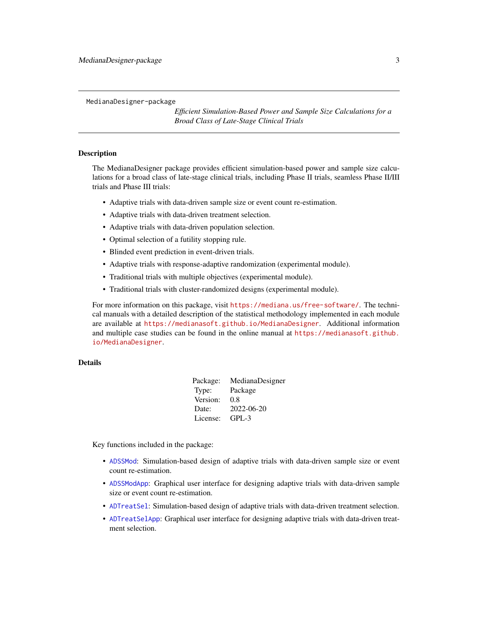<span id="page-2-0"></span>MedianaDesigner-package

*Efficient Simulation-Based Power and Sample Size Calculations for a Broad Class of Late-Stage Clinical Trials*

# Description

The MedianaDesigner package provides efficient simulation-based power and sample size calculations for a broad class of late-stage clinical trials, including Phase II trials, seamless Phase II/III trials and Phase III trials:

- Adaptive trials with data-driven sample size or event count re-estimation.
- Adaptive trials with data-driven treatment selection.
- Adaptive trials with data-driven population selection.
- Optimal selection of a futility stopping rule.
- Blinded event prediction in event-driven trials.
- Adaptive trials with response-adaptive randomization (experimental module).
- Traditional trials with multiple objectives (experimental module).
- Traditional trials with cluster-randomized designs (experimental module).

For more information on this package, visit <https://mediana.us/free-software/>. The technical manuals with a detailed description of the statistical methodology implemented in each module are available at <https://medianasoft.github.io/MedianaDesigner>. Additional information and multiple case studies can be found in the online manual at [https://medianasoft.github.](https://medianasoft.github.io/MedianaDesigner) [io/MedianaDesigner](https://medianasoft.github.io/MedianaDesigner).

#### Details

| Package: | MedianaDesigner |
|----------|-----------------|
| Type:    | Package         |
| Version: | 0.8             |
| Date:    | 2022-06-20      |
| License: | $GPI - 3$       |

Key functions included in the package:

- [ADSSMod](#page-20-1): Simulation-based design of adaptive trials with data-driven sample size or event count re-estimation.
- [ADSSModApp](#page-23-1): Graphical user interface for designing adaptive trials with data-driven sample size or event count re-estimation.
- [ADTreatSel](#page-30-1): Simulation-based design of adaptive trials with data-driven treatment selection.
- [ADTreatSelApp](#page-33-1): Graphical user interface for designing adaptive trials with data-driven treatment selection.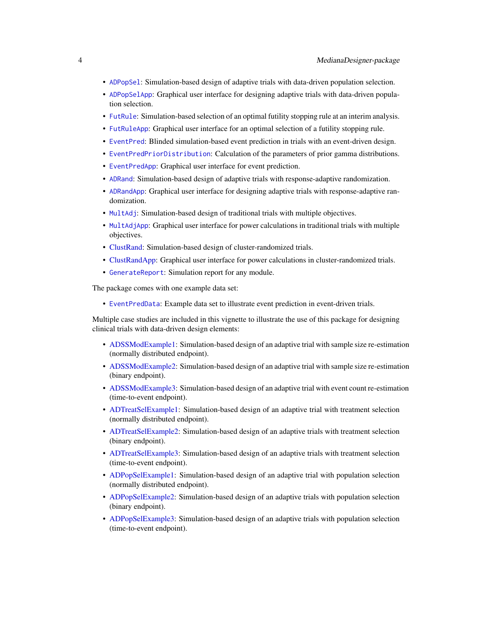- [ADPopSel](#page-5-1): Simulation-based design of adaptive trials with data-driven population selection.
- [ADPopSelApp](#page-8-1): Graphical user interface for designing adaptive trials with data-driven population selection.
- [FutRule](#page-52-1): Simulation-based selection of an optimal futility stopping rule at an interim analysis.
- [FutRuleApp](#page-54-1): Graphical user interface for an optimal selection of a futility stopping rule.
- [EventPred](#page-47-1): Blinded simulation-based event prediction in trials with an event-driven design.
- [EventPredPriorDistribution](#page-51-1): Calculation of the parameters of prior gamma distributions.
- [EventPredApp](#page-48-1): Graphical user interface for event prediction.
- [ADRand](#page-15-1): Simulation-based design of adaptive trials with response-adaptive randomization.
- [ADRandApp](#page-17-1): Graphical user interface for designing adaptive trials with response-adaptive randomization.
- [MultAdj](#page-61-1): Simulation-based design of traditional trials with multiple objectives.
- [MultAdjApp](#page-64-1): Graphical user interface for power calculations in traditional trials with multiple objectives.
- [ClustRand:](#page-39-1) Simulation-based design of cluster-randomized trials.
- [ClustRandApp:](#page-42-1) Graphical user interface for power calculations in cluster-randomized trials.
- [GenerateReport](#page-60-1): Simulation report for any module.

The package comes with one example data set:

• [EventPredData](#page-49-1): Example data set to illustrate event prediction in event-driven trials.

Multiple case studies are included in this vignette to illustrate the use of this package for designing clinical trials with data-driven design elements:

- [ADSSModExample1:](#page-24-1) Simulation-based design of an adaptive trial with sample size re-estimation (normally distributed endpoint).
- [ADSSModExample2:](#page-26-1) Simulation-based design of an adaptive trial with sample size re-estimation (binary endpoint).
- [ADSSModExample3:](#page-28-1) Simulation-based design of an adaptive trial with event count re-estimation (time-to-event endpoint).
- [ADTreatSelExample1:](#page-33-2) Simulation-based design of an adaptive trial with treatment selection (normally distributed endpoint).
- [ADTreatSelExample2:](#page-35-1) Simulation-based design of an adaptive trials with treatment selection (binary endpoint).
- [ADTreatSelExample3:](#page-37-1) Simulation-based design of an adaptive trials with treatment selection (time-to-event endpoint).
- [ADPopSelExample1:](#page-8-2) Simulation-based design of an adaptive trial with population selection (normally distributed endpoint).
- [ADPopSelExample2:](#page-11-1) Simulation-based design of an adaptive trials with population selection (binary endpoint).
- [ADPopSelExample3:](#page-13-1) Simulation-based design of an adaptive trials with population selection (time-to-event endpoint).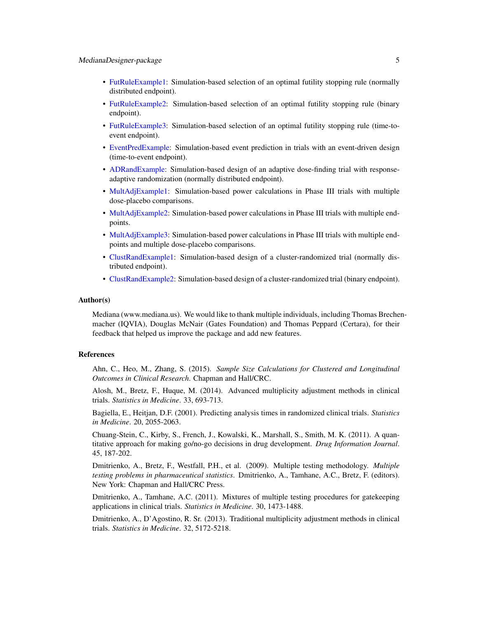- [FutRuleExample1:](#page-55-1) Simulation-based selection of an optimal futility stopping rule (normally distributed endpoint).
- [FutRuleExample2:](#page-57-1) Simulation-based selection of an optimal futility stopping rule (binary endpoint).
- [FutRuleExample3:](#page-58-1) Simulation-based selection of an optimal futility stopping rule (time-toevent endpoint).
- [EventPredExample:](#page-50-1) Simulation-based event prediction in trials with an event-driven design (time-to-event endpoint).
- [ADRandExample:](#page-18-1) Simulation-based design of an adaptive dose-finding trial with responseadaptive randomization (normally distributed endpoint).
- [MultAdjExample1:](#page-65-1) Simulation-based power calculations in Phase III trials with multiple dose-placebo comparisons.
- [MultAdjExample2:](#page-66-1) Simulation-based power calculations in Phase III trials with multiple endpoints.
- [MultAdjExample3:](#page-68-1) Simulation-based power calculations in Phase III trials with multiple endpoints and multiple dose-placebo comparisons.
- [ClustRandExample1:](#page-42-2) Simulation-based design of a cluster-randomized trial (normally distributed endpoint).
- [ClustRandExample2:](#page-45-1) Simulation-based design of a cluster-randomized trial (binary endpoint).

#### Author(s)

Mediana (www.mediana.us). We would like to thank multiple individuals, including Thomas Brechenmacher (IQVIA), Douglas McNair (Gates Foundation) and Thomas Peppard (Certara), for their feedback that helped us improve the package and add new features.

### References

Ahn, C., Heo, M., Zhang, S. (2015). *Sample Size Calculations for Clustered and Longitudinal Outcomes in Clinical Research*. Chapman and Hall/CRC.

Alosh, M., Bretz, F., Huque, M. (2014). Advanced multiplicity adjustment methods in clinical trials. *Statistics in Medicine*. 33, 693-713.

Bagiella, E., Heitjan, D.F. (2001). Predicting analysis times in randomized clinical trials. *Statistics in Medicine*. 20, 2055-2063.

Chuang-Stein, C., Kirby, S., French, J., Kowalski, K., Marshall, S., Smith, M. K. (2011). A quantitative approach for making go/no-go decisions in drug development. *Drug Information Journal*. 45, 187-202.

Dmitrienko, A., Bretz, F., Westfall, P.H., et al. (2009). Multiple testing methodology. *Multiple testing problems in pharmaceutical statistics*. Dmitrienko, A., Tamhane, A.C., Bretz, F. (editors). New York: Chapman and Hall/CRC Press.

Dmitrienko, A., Tamhane, A.C. (2011). Mixtures of multiple testing procedures for gatekeeping applications in clinical trials. *Statistics in Medicine*. 30, 1473-1488.

Dmitrienko, A., D'Agostino, R. Sr. (2013). Traditional multiplicity adjustment methods in clinical trials. *Statistics in Medicine*. 32, 5172-5218.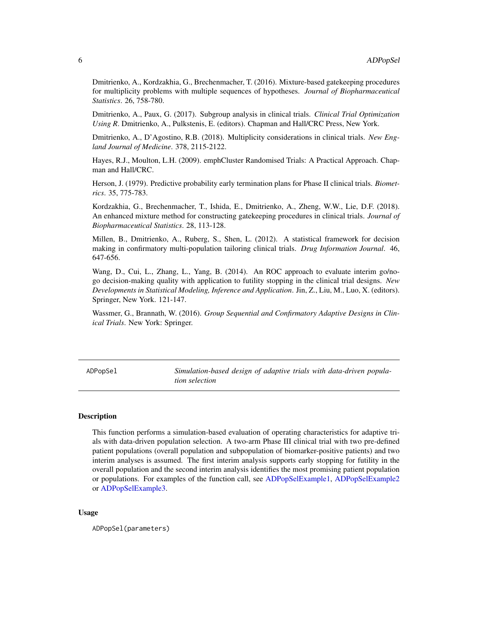<span id="page-5-0"></span>Dmitrienko, A., Kordzakhia, G., Brechenmacher, T. (2016). Mixture-based gatekeeping procedures for multiplicity problems with multiple sequences of hypotheses. *Journal of Biopharmaceutical Statistics*. 26, 758-780.

Dmitrienko, A., Paux, G. (2017). Subgroup analysis in clinical trials. *Clinical Trial Optimization Using R*. Dmitrienko, A., Pulkstenis, E. (editors). Chapman and Hall/CRC Press, New York.

Dmitrienko, A., D'Agostino, R.B. (2018). Multiplicity considerations in clinical trials. *New England Journal of Medicine*. 378, 2115-2122.

Hayes, R.J., Moulton, L.H. (2009). emphCluster Randomised Trials: A Practical Approach. Chapman and Hall/CRC.

Herson, J. (1979). Predictive probability early termination plans for Phase II clinical trials. *Biometrics*. 35, 775-783.

Kordzakhia, G., Brechenmacher, T., Ishida, E., Dmitrienko, A., Zheng, W.W., Lie, D.F. (2018). An enhanced mixture method for constructing gatekeeping procedures in clinical trials. *Journal of Biopharmaceutical Statistics*. 28, 113-128.

Millen, B., Dmitrienko, A., Ruberg, S., Shen, L. (2012). A statistical framework for decision making in confirmatory multi-population tailoring clinical trials. *Drug Information Journal*. 46, 647-656.

Wang, D., Cui, L., Zhang, L., Yang, B. (2014). An ROC approach to evaluate interim go/nogo decision-making quality with application to futility stopping in the clinical trial designs. *New Developments in Statistical Modeling, Inference and Application*. Jin, Z., Liu, M., Luo, X. (editors). Springer, New York. 121-147.

Wassmer, G., Brannath, W. (2016). *Group Sequential and Confirmatory Adaptive Designs in Clinical Trials*. New York: Springer.

<span id="page-5-1"></span>ADPopSel *Simulation-based design of adaptive trials with data-driven population selection*

# **Description**

This function performs a simulation-based evaluation of operating characteristics for adaptive trials with data-driven population selection. A two-arm Phase III clinical trial with two pre-defined patient populations (overall population and subpopulation of biomarker-positive patients) and two interim analyses is assumed. The first interim analysis supports early stopping for futility in the overall population and the second interim analysis identifies the most promising patient population or populations. For examples of the function call, see [ADPopSelExample1,](#page-8-2) [ADPopSelExample2](#page-11-1) or [ADPopSelExample3.](#page-13-1)

#### Usage

ADPopSel(parameters)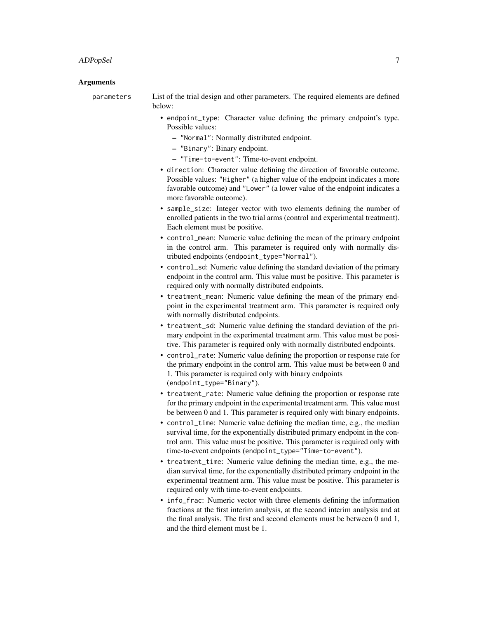#### ADPopSel 7

#### Arguments

parameters List of the trial design and other parameters. The required elements are defined below:

- endpoint\_type: Character value defining the primary endpoint's type. Possible values:
	- "Normal": Normally distributed endpoint.
	- "Binary": Binary endpoint.
	- "Time-to-event": Time-to-event endpoint.
- direction: Character value defining the direction of favorable outcome. Possible values: "Higher" (a higher value of the endpoint indicates a more favorable outcome) and "Lower" (a lower value of the endpoint indicates a more favorable outcome).
- sample\_size: Integer vector with two elements defining the number of enrolled patients in the two trial arms (control and experimental treatment). Each element must be positive.
- control\_mean: Numeric value defining the mean of the primary endpoint in the control arm. This parameter is required only with normally distributed endpoints (endpoint\_type="Normal").
- control\_sd: Numeric value defining the standard deviation of the primary endpoint in the control arm. This value must be positive. This parameter is required only with normally distributed endpoints.
- treatment\_mean: Numeric value defining the mean of the primary endpoint in the experimental treatment arm. This parameter is required only with normally distributed endpoints.
- treatment\_sd: Numeric value defining the standard deviation of the primary endpoint in the experimental treatment arm. This value must be positive. This parameter is required only with normally distributed endpoints.
- control\_rate: Numeric value defining the proportion or response rate for the primary endpoint in the control arm. This value must be between 0 and 1. This parameter is required only with binary endpoints (endpoint\_type="Binary").
- treatment\_rate: Numeric value defining the proportion or response rate for the primary endpoint in the experimental treatment arm. This value must be between 0 and 1. This parameter is required only with binary endpoints.
- control\_time: Numeric value defining the median time, e.g., the median survival time, for the exponentially distributed primary endpoint in the control arm. This value must be positive. This parameter is required only with time-to-event endpoints (endpoint\_type="Time-to-event").
- treatment\_time: Numeric value defining the median time, e.g., the median survival time, for the exponentially distributed primary endpoint in the experimental treatment arm. This value must be positive. This parameter is required only with time-to-event endpoints.
- info\_frac: Numeric vector with three elements defining the information fractions at the first interim analysis, at the second interim analysis and at the final analysis. The first and second elements must be between 0 and 1, and the third element must be 1.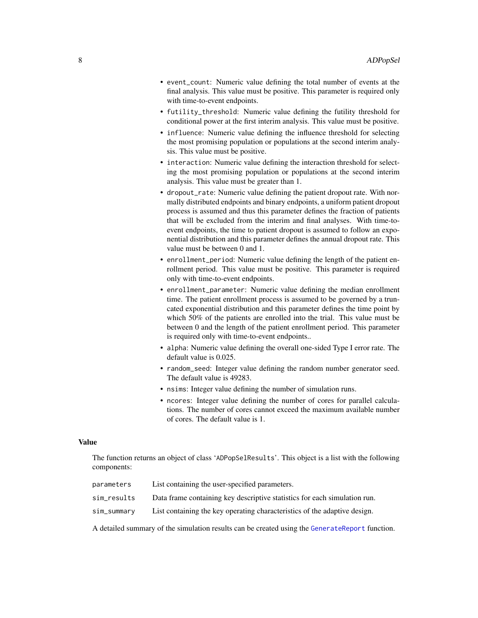- event\_count: Numeric value defining the total number of events at the final analysis. This value must be positive. This parameter is required only with time-to-event endpoints.
- futility\_threshold: Numeric value defining the futility threshold for conditional power at the first interim analysis. This value must be positive.
- influence: Numeric value defining the influence threshold for selecting the most promising population or populations at the second interim analysis. This value must be positive.
- interaction: Numeric value defining the interaction threshold for selecting the most promising population or populations at the second interim analysis. This value must be greater than 1.
- dropout\_rate: Numeric value defining the patient dropout rate. With normally distributed endpoints and binary endpoints, a uniform patient dropout process is assumed and thus this parameter defines the fraction of patients that will be excluded from the interim and final analyses. With time-toevent endpoints, the time to patient dropout is assumed to follow an exponential distribution and this parameter defines the annual dropout rate. This value must be between 0 and 1.
- enrollment\_period: Numeric value defining the length of the patient enrollment period. This value must be positive. This parameter is required only with time-to-event endpoints.
- enrollment\_parameter: Numeric value defining the median enrollment time. The patient enrollment process is assumed to be governed by a truncated exponential distribution and this parameter defines the time point by which 50% of the patients are enrolled into the trial. This value must be between 0 and the length of the patient enrollment period. This parameter is required only with time-to-event endpoints..
- alpha: Numeric value defining the overall one-sided Type I error rate. The default value is 0.025.
- random\_seed: Integer value defining the random number generator seed. The default value is 49283.
- nsims: Integer value defining the number of simulation runs.
- ncores: Integer value defining the number of cores for parallel calculations. The number of cores cannot exceed the maximum available number of cores. The default value is 1.

### Value

The function returns an object of class 'ADPopSelResults'. This object is a list with the following components:

| parameters  | List containing the user-specified parameters.                            |
|-------------|---------------------------------------------------------------------------|
| sim_results | Data frame containing key descriptive statistics for each simulation run. |
| sim_summary | List containing the key operating characteristics of the adaptive design. |

A detailed summary of the simulation results can be created using the [GenerateReport](#page-60-1) function.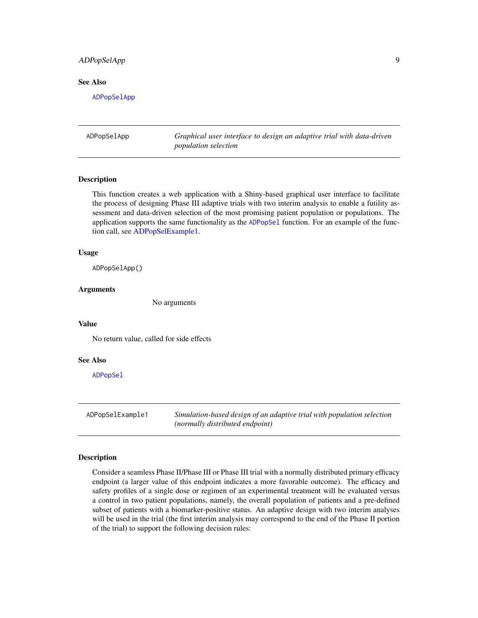# <span id="page-8-0"></span>ADPopSelApp 9

#### See Also

[ADPopSelApp](#page-8-1)

<span id="page-8-1"></span>ADPopSelApp *Graphical user interface to design an adaptive trial with data-driven population selection*

# Description

This function creates a web application with a Shiny-based graphical user interface to facilitate the process of designing Phase III adaptive trials with two interim analysis to enable a futility assessment and data-driven selection of the most promising patient population or populations. The application supports the same functionality as the [ADPopSel](#page-5-1) function. For an example of the function call, see [ADPopSelExample1.](#page-8-2)

#### Usage

ADPopSelApp()

#### Arguments

No arguments

#### Value

No return value, called for side effects

#### See Also

[ADPopSel](#page-5-1)

<span id="page-8-2"></span>ADPopSelExample1 *Simulation-based design of an adaptive trial with population selection (normally distributed endpoint)*

#### Description

Consider a seamless Phase II/Phase III or Phase III trial with a normally distributed primary efficacy endpoint (a larger value of this endpoint indicates a more favorable outcome). The efficacy and safety profiles of a single dose or regimen of an experimental treatment will be evaluated versus a control in two patient populations, namely, the overall population of patients and a pre-defined subset of patients with a biomarker-positive status. An adaptive design with two interim analyses will be used in the trial (the first interim analysis may correspond to the end of the Phase II portion of the trial) to support the following decision rules: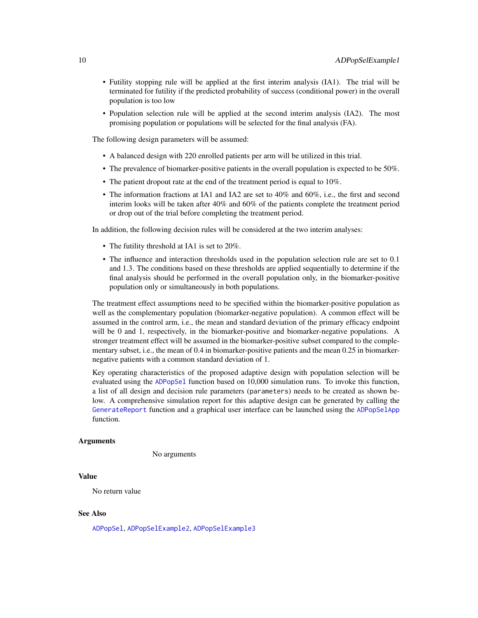- Futility stopping rule will be applied at the first interim analysis (IA1). The trial will be terminated for futility if the predicted probability of success (conditional power) in the overall population is too low
- Population selection rule will be applied at the second interim analysis (IA2). The most promising population or populations will be selected for the final analysis (FA).

The following design parameters will be assumed:

- A balanced design with 220 enrolled patients per arm will be utilized in this trial.
- The prevalence of biomarker-positive patients in the overall population is expected to be 50%.
- The patient dropout rate at the end of the treatment period is equal to 10%.
- The information fractions at IA1 and IA2 are set to 40% and 60%, i.e., the first and second interim looks will be taken after 40% and 60% of the patients complete the treatment period or drop out of the trial before completing the treatment period.

In addition, the following decision rules will be considered at the two interim analyses:

- The futility threshold at IA1 is set to 20%.
- The influence and interaction thresholds used in the population selection rule are set to 0.1 and 1.3. The conditions based on these thresholds are applied sequentially to determine if the final analysis should be performed in the overall population only, in the biomarker-positive population only or simultaneously in both populations.

The treatment effect assumptions need to be specified within the biomarker-positive population as well as the complementary population (biomarker-negative population). A common effect will be assumed in the control arm, i.e., the mean and standard deviation of the primary efficacy endpoint will be 0 and 1, respectively, in the biomarker-positive and biomarker-negative populations. A stronger treatment effect will be assumed in the biomarker-positive subset compared to the complementary subset, i.e., the mean of 0.4 in biomarker-positive patients and the mean 0.25 in biomarkernegative patients with a common standard deviation of 1.

Key operating characteristics of the proposed adaptive design with population selection will be evaluated using the [ADPopSel](#page-5-1) function based on 10,000 simulation runs. To invoke this function, a list of all design and decision rule parameters (parameters) needs to be created as shown below. A comprehensive simulation report for this adaptive design can be generated by calling the [GenerateReport](#page-60-1) function and a graphical user interface can be launched using the [ADPopSelApp](#page-8-1) function.

#### Arguments

No arguments

# Value

No return value

#### See Also

[ADPopSel](#page-5-1), [ADPopSelExample2](#page-11-1), [ADPopSelExample3](#page-13-1)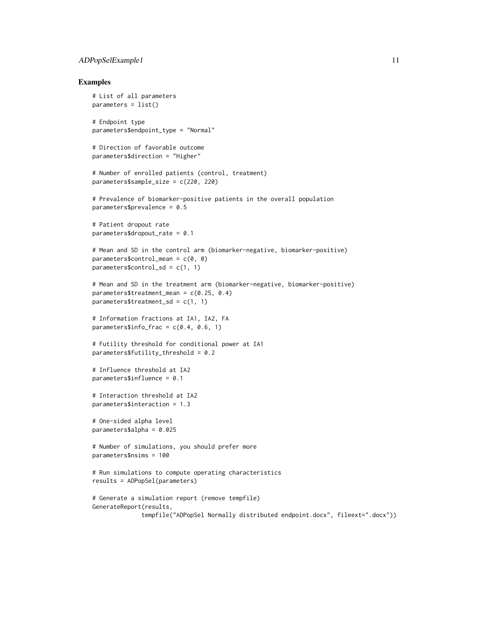# ADPopSelExample1 11

#### Examples

```
# List of all parameters
parameters = list()
# Endpoint type
parameters$endpoint_type = "Normal"
# Direction of favorable outcome
parameters$direction = "Higher"
# Number of enrolled patients (control, treatment)
parameters$sample_size = c(220, 220)
# Prevalence of biomarker-positive patients in the overall population
parameters$prevalence = 0.5
# Patient dropout rate
parameters$dropout_rate = 0.1
# Mean and SD in the control arm (biomarker-negative, biomarker-positive)
parameters$control_mean = c(\theta, \theta)parameters$control_sd = c(1, 1)# Mean and SD in the treatment arm (biomarker-negative, biomarker-positive)
parameters$treatment_mean = c(0.25, 0.4)
parameters$treatment_sd = c(1, 1)
# Information fractions at IA1, IA2, FA
parameters$info_frac = c(0.4, 0.6, 1)# Futility threshold for conditional power at IA1
parameters$futility_threshold = 0.2
# Influence threshold at IA2
parameters$influence = 0.1
# Interaction threshold at IA2
parameters$interaction = 1.3
# One-sided alpha level
parameters$alpha = 0.025
# Number of simulations, you should prefer more
parameters$nsims = 100
# Run simulations to compute operating characteristics
results = ADPopSel(parameters)
# Generate a simulation report (remove tempfile)
GenerateReport(results,
              tempfile("ADPopSel Normally distributed endpoint.docx", fileext=".docx"))
```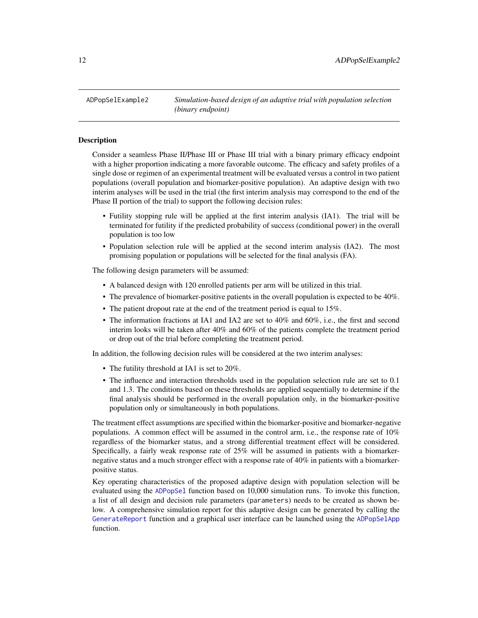<span id="page-11-1"></span><span id="page-11-0"></span>ADPopSelExample2 *Simulation-based design of an adaptive trial with population selection (binary endpoint)*

#### Description

Consider a seamless Phase II/Phase III or Phase III trial with a binary primary efficacy endpoint with a higher proportion indicating a more favorable outcome. The efficacy and safety profiles of a single dose or regimen of an experimental treatment will be evaluated versus a control in two patient populations (overall population and biomarker-positive population). An adaptive design with two interim analyses will be used in the trial (the first interim analysis may correspond to the end of the Phase II portion of the trial) to support the following decision rules:

- Futility stopping rule will be applied at the first interim analysis (IA1). The trial will be terminated for futility if the predicted probability of success (conditional power) in the overall population is too low
- Population selection rule will be applied at the second interim analysis (IA2). The most promising population or populations will be selected for the final analysis (FA).

The following design parameters will be assumed:

- A balanced design with 120 enrolled patients per arm will be utilized in this trial.
- The prevalence of biomarker-positive patients in the overall population is expected to be 40%.
- The patient dropout rate at the end of the treatment period is equal to 15%.
- The information fractions at IA1 and IA2 are set to 40% and 60%, i.e., the first and second interim looks will be taken after 40% and 60% of the patients complete the treatment period or drop out of the trial before completing the treatment period.

In addition, the following decision rules will be considered at the two interim analyses:

- The futility threshold at IA1 is set to 20%.
- The influence and interaction thresholds used in the population selection rule are set to 0.1 and 1.3. The conditions based on these thresholds are applied sequentially to determine if the final analysis should be performed in the overall population only, in the biomarker-positive population only or simultaneously in both populations.

The treatment effect assumptions are specified within the biomarker-positive and biomarker-negative populations. A common effect will be assumed in the control arm, i.e., the response rate of 10% regardless of the biomarker status, and a strong differential treatment effect will be considered. Specifically, a fairly weak response rate of 25% will be assumed in patients with a biomarkernegative status and a much stronger effect with a response rate of  $40\%$  in patients with a biomarkerpositive status.

Key operating characteristics of the proposed adaptive design with population selection will be evaluated using the [ADPopSel](#page-5-1) function based on 10,000 simulation runs. To invoke this function, a list of all design and decision rule parameters (parameters) needs to be created as shown below. A comprehensive simulation report for this adaptive design can be generated by calling the [GenerateReport](#page-60-1) function and a graphical user interface can be launched using the [ADPopSelApp](#page-8-1) function.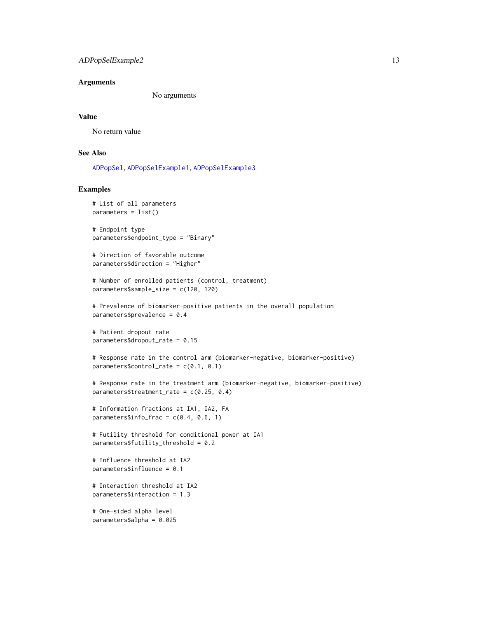# ADPopSelExample2 13

#### **Arguments**

No arguments

#### Value

No return value

# See Also

[ADPopSel](#page-5-1), [ADPopSelExample1](#page-8-2), [ADPopSelExample3](#page-13-1)

# Examples

```
# List of all parameters
parameters = list()# Endpoint type
parameters$endpoint_type = "Binary"
# Direction of favorable outcome
parameters$direction = "Higher"
# Number of enrolled patients (control, treatment)
parameters$sample_size = c(120, 120)
# Prevalence of biomarker-positive patients in the overall population
parameters$prevalence = 0.4
# Patient dropout rate
parameters$dropout_rate = 0.15
# Response rate in the control arm (biomarker-negative, biomarker-positive)
parameters$control_rate = c(0.1, 0.1)# Response rate in the treatment arm (biomarker-negative, biomarker-positive)
parameters$treatment_rate = c(0.25, 0.4)# Information fractions at IA1, IA2, FA
parameters$info_frac = c(0.4, 0.6, 1)# Futility threshold for conditional power at IA1
parameters$futility_threshold = 0.2
# Influence threshold at IA2
parameters$influence = 0.1
# Interaction threshold at IA2
parameters$interaction = 1.3
# One-sided alpha level
```

```
parameters$alpha = 0.025
```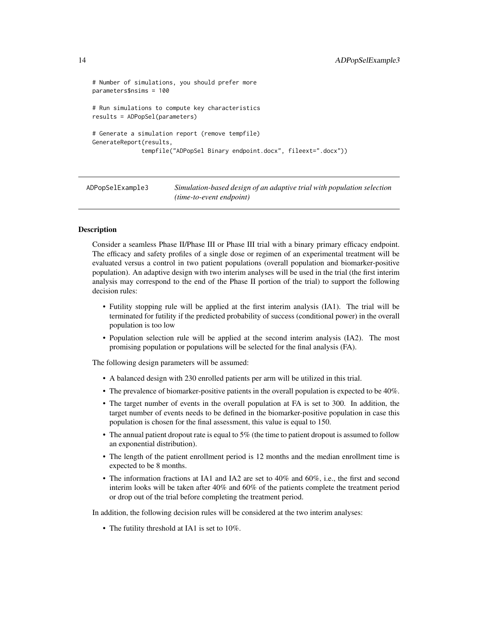```
# Number of simulations, you should prefer more
parameters$nsims = 100
# Run simulations to compute key characteristics
results = ADPopSel(parameters)
# Generate a simulation report (remove tempfile)
GenerateReport(results,
              tempfile("ADPopSel Binary endpoint.docx", fileext=".docx"))
```
<span id="page-13-1"></span>ADPopSelExample3 *Simulation-based design of an adaptive trial with population selection (time-to-event endpoint)*

#### **Description**

Consider a seamless Phase II/Phase III or Phase III trial with a binary primary efficacy endpoint. The efficacy and safety profiles of a single dose or regimen of an experimental treatment will be evaluated versus a control in two patient populations (overall population and biomarker-positive population). An adaptive design with two interim analyses will be used in the trial (the first interim analysis may correspond to the end of the Phase II portion of the trial) to support the following decision rules:

- Futility stopping rule will be applied at the first interim analysis (IA1). The trial will be terminated for futility if the predicted probability of success (conditional power) in the overall population is too low
- Population selection rule will be applied at the second interim analysis (IA2). The most promising population or populations will be selected for the final analysis (FA).

The following design parameters will be assumed:

- A balanced design with 230 enrolled patients per arm will be utilized in this trial.
- The prevalence of biomarker-positive patients in the overall population is expected to be 40%.
- The target number of events in the overall population at FA is set to 300. In addition, the target number of events needs to be defined in the biomarker-positive population in case this population is chosen for the final assessment, this value is equal to 150.
- The annual patient dropout rate is equal to 5% (the time to patient dropout is assumed to follow an exponential distribution).
- The length of the patient enrollment period is 12 months and the median enrollment time is expected to be 8 months.
- The information fractions at IA1 and IA2 are set to 40% and 60%, i.e., the first and second interim looks will be taken after 40% and 60% of the patients complete the treatment period or drop out of the trial before completing the treatment period.

In addition, the following decision rules will be considered at the two interim analyses:

• The futility threshold at IA1 is set to 10%.

<span id="page-13-0"></span>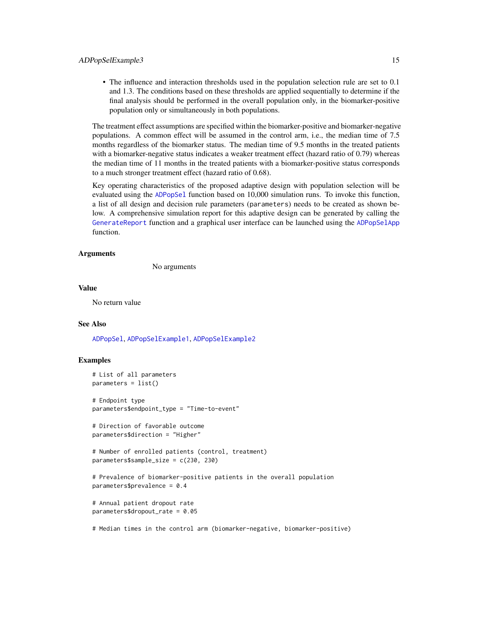• The influence and interaction thresholds used in the population selection rule are set to 0.1 and 1.3. The conditions based on these thresholds are applied sequentially to determine if the final analysis should be performed in the overall population only, in the biomarker-positive population only or simultaneously in both populations.

The treatment effect assumptions are specified within the biomarker-positive and biomarker-negative populations. A common effect will be assumed in the control arm, i.e., the median time of 7.5 months regardless of the biomarker status. The median time of 9.5 months in the treated patients with a biomarker-negative status indicates a weaker treatment effect (hazard ratio of 0.79) whereas the median time of 11 months in the treated patients with a biomarker-positive status corresponds to a much stronger treatment effect (hazard ratio of 0.68).

Key operating characteristics of the proposed adaptive design with population selection will be evaluated using the [ADPopSel](#page-5-1) function based on 10,000 simulation runs. To invoke this function, a list of all design and decision rule parameters (parameters) needs to be created as shown below. A comprehensive simulation report for this adaptive design can be generated by calling the [GenerateReport](#page-60-1) function and a graphical user interface can be launched using the [ADPopSelApp](#page-8-1) function.

### Arguments

No arguments

### Value

No return value

#### See Also

[ADPopSel](#page-5-1), [ADPopSelExample1](#page-8-2), [ADPopSelExample2](#page-11-1)

#### Examples

```
# List of all parameters
parameters = list()
```
# Endpoint type parameters\$endpoint\_type = "Time-to-event"

```
# Direction of favorable outcome
parameters$direction = "Higher"
```

```
# Number of enrolled patients (control, treatment)
parameters$sample_size = c(230, 230)
```

```
# Prevalence of biomarker-positive patients in the overall population
parameters$prevalence = 0.4
```

```
# Annual patient dropout rate
parameters$dropout_rate = 0.05
```
# Median times in the control arm (biomarker-negative, biomarker-positive)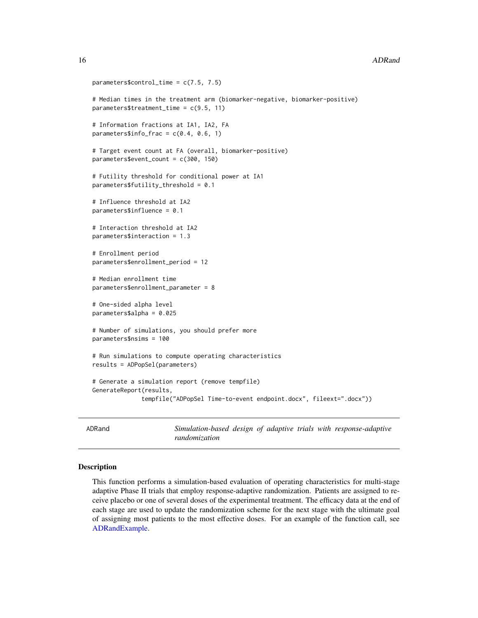```
parameters$control_time = c(7.5, 7.5)# Median times in the treatment arm (biomarker-negative, biomarker-positive)
parameters$treatment_time = c(9.5, 11)
# Information fractions at IA1, IA2, FA
parameters$info-frac = c(0.4, 0.6, 1)# Target event count at FA (overall, biomarker-positive)
parameters$event_count = c(300, 150)
# Futility threshold for conditional power at IA1
parameters$futility_threshold = 0.1
# Influence threshold at IA2
parameters$influence = 0.1
# Interaction threshold at IA2
parameters$interaction = 1.3
# Enrollment period
parameters$enrollment_period = 12
# Median enrollment time
parameters$enrollment_parameter = 8
# One-sided alpha level
parameters$alpha = 0.025
# Number of simulations, you should prefer more
parameters$nsims = 100
# Run simulations to compute operating characteristics
results = ADPopSel(parameters)
# Generate a simulation report (remove tempfile)
GenerateReport(results,
              tempfile("ADPopSel Time-to-event endpoint.docx", fileext=".docx"))
```
<span id="page-15-1"></span>ADRand *Simulation-based design of adaptive trials with response-adaptive randomization*

#### Description

This function performs a simulation-based evaluation of operating characteristics for multi-stage adaptive Phase II trials that employ response-adaptive randomization. Patients are assigned to receive placebo or one of several doses of the experimental treatment. The efficacy data at the end of each stage are used to update the randomization scheme for the next stage with the ultimate goal of assigning most patients to the most effective doses. For an example of the function call, see [ADRandExample.](#page-18-1)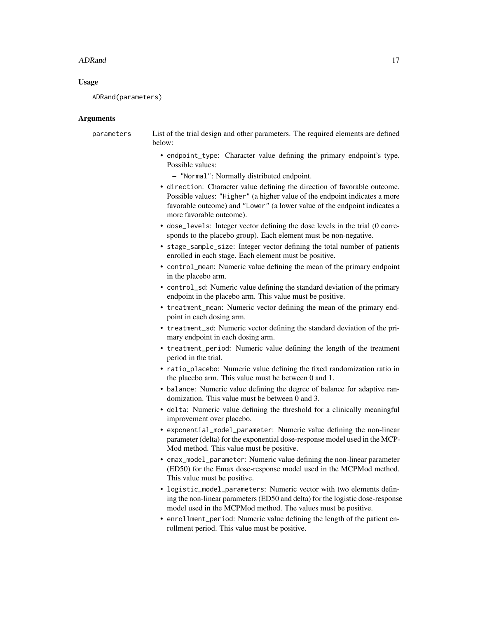#### ADRand 17

# Usage

ADRand(parameters)

#### Arguments

parameters List of the trial design and other parameters. The required elements are defined below:

- endpoint\_type: Character value defining the primary endpoint's type. Possible values:
	- "Normal": Normally distributed endpoint.
- direction: Character value defining the direction of favorable outcome. Possible values: "Higher" (a higher value of the endpoint indicates a more favorable outcome) and "Lower" (a lower value of the endpoint indicates a more favorable outcome).
- dose\_levels: Integer vector defining the dose levels in the trial (0 corresponds to the placebo group). Each element must be non-negative.
- stage\_sample\_size: Integer vector defining the total number of patients enrolled in each stage. Each element must be positive.
- control\_mean: Numeric value defining the mean of the primary endpoint in the placebo arm.
- control\_sd: Numeric value defining the standard deviation of the primary endpoint in the placebo arm. This value must be positive.
- treatment\_mean: Numeric vector defining the mean of the primary endpoint in each dosing arm.
- treatment\_sd: Numeric vector defining the standard deviation of the primary endpoint in each dosing arm.
- treatment\_period: Numeric value defining the length of the treatment period in the trial.
- ratio\_placebo: Numeric value defining the fixed randomization ratio in the placebo arm. This value must be between 0 and 1.
- balance: Numeric value defining the degree of balance for adaptive randomization. This value must be between 0 and 3.
- delta: Numeric value defining the threshold for a clinically meaningful improvement over placebo.
- exponential\_model\_parameter: Numeric value defining the non-linear parameter (delta) for the exponential dose-response model used in the MCP-Mod method. This value must be positive.
- emax\_model\_parameter: Numeric value defining the non-linear parameter (ED50) for the Emax dose-response model used in the MCPMod method. This value must be positive.
- logistic\_model\_parameters: Numeric vector with two elements defining the non-linear parameters (ED50 and delta) for the logistic dose-response model used in the MCPMod method. The values must be positive.
- enrollment\_period: Numeric value defining the length of the patient enrollment period. This value must be positive.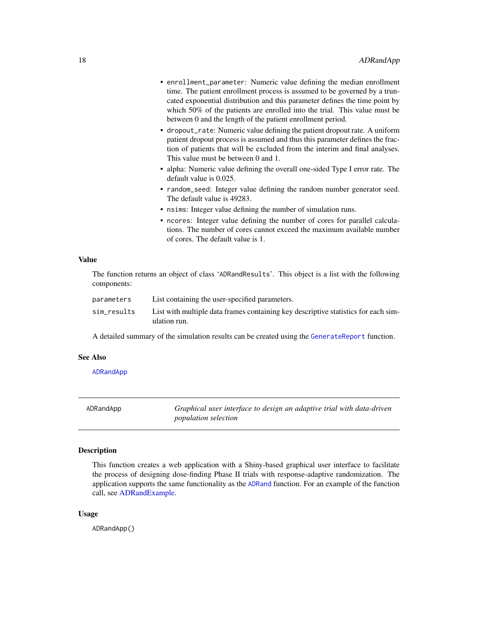<span id="page-17-0"></span>

| • enrollment_parameter: Numeric value defining the median enrollment<br>time. The patient enrollment process is assumed to be governed by a trun-<br>cated exponential distribution and this parameter defines the time point by<br>which 50% of the patients are enrolled into the trial. This value must be<br>between 0 and the length of the patient enrollment period. |
|-----------------------------------------------------------------------------------------------------------------------------------------------------------------------------------------------------------------------------------------------------------------------------------------------------------------------------------------------------------------------------|
| • dropout_rate: Numeric value defining the patient dropout rate. A uniform<br>patient dropout process is assumed and thus this parameter defines the frac-<br>tion of patients that will be excluded from the interim and final analyses.<br>This value must be between 0 and 1.                                                                                            |
| • alpha: Numeric value defining the overall one-sided Type I error rate. The<br>default value is 0.025.                                                                                                                                                                                                                                                                     |
| • random_seed: Integer value defining the random number generator seed.<br>The default value is 49283.                                                                                                                                                                                                                                                                      |
| • nsims: Integer value defining the number of simulation runs.                                                                                                                                                                                                                                                                                                              |
| • ncores: Integer value defining the number of cores for parallel calcula-                                                                                                                                                                                                                                                                                                  |

tions. The number of cores cannot exceed the maximum available number of cores. The default value is 1.

#### Value

The function returns an object of class 'ADRandResults'. This object is a list with the following components:

| parameters  | List containing the user-specified parameters.                                                     |
|-------------|----------------------------------------------------------------------------------------------------|
| sim_results | List with multiple data frames containing key descriptive statistics for each sim-<br>ulation run. |

A detailed summary of the simulation results can be created using the [GenerateReport](#page-60-1) function.

# See Also

[ADRandApp](#page-17-1)

<span id="page-17-1"></span>ADRandApp *Graphical user interface to design an adaptive trial with data-driven population selection*

# Description

This function creates a web application with a Shiny-based graphical user interface to facilitate the process of designing dose-finding Phase II trials with response-adaptive randomization. The application supports the same functionality as the [ADRand](#page-15-1) function. For an example of the function call, see [ADRandExample.](#page-18-1)

#### Usage

ADRandApp()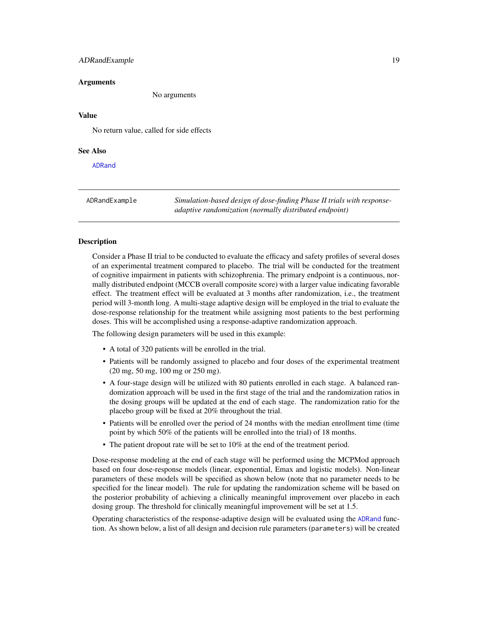# <span id="page-18-0"></span>ADRandExample 19

#### Arguments

No arguments

# Value

No return value, called for side effects

# See Also

[ADRand](#page-15-1)

<span id="page-18-1"></span>ADRandExample *Simulation-based design of dose-finding Phase II trials with responseadaptive randomization (normally distributed endpoint)*

#### **Description**

Consider a Phase II trial to be conducted to evaluate the efficacy and safety profiles of several doses of an experimental treatment compared to placebo. The trial will be conducted for the treatment of cognitive impairment in patients with schizophrenia. The primary endpoint is a continuous, normally distributed endpoint (MCCB overall composite score) with a larger value indicating favorable effect. The treatment effect will be evaluated at 3 months after randomization, i.e., the treatment period will 3-month long. A multi-stage adaptive design will be employed in the trial to evaluate the dose-response relationship for the treatment while assigning most patients to the best performing doses. This will be accomplished using a response-adaptive randomization approach.

The following design parameters will be used in this example:

- A total of 320 patients will be enrolled in the trial.
- Patients will be randomly assigned to placebo and four doses of the experimental treatment (20 mg, 50 mg, 100 mg or 250 mg).
- A four-stage design will be utilized with 80 patients enrolled in each stage. A balanced randomization approach will be used in the first stage of the trial and the randomization ratios in the dosing groups will be updated at the end of each stage. The randomization ratio for the placebo group will be fixed at 20% throughout the trial.
- Patients will be enrolled over the period of 24 months with the median enrollment time (time point by which 50% of the patients will be enrolled into the trial) of 18 months.
- The patient dropout rate will be set to 10% at the end of the treatment period.

Dose-response modeling at the end of each stage will be performed using the MCPMod approach based on four dose-response models (linear, exponential, Emax and logistic models). Non-linear parameters of these models will be specified as shown below (note that no parameter needs to be specified for the linear model). The rule for updating the randomization scheme will be based on the posterior probability of achieving a clinically meaningful improvement over placebo in each dosing group. The threshold for clinically meaningful improvement will be set at 1.5.

Operating characteristics of the response-adaptive design will be evaluated using the [ADRand](#page-15-1) function. As shown below, a list of all design and decision rule parameters (parameters) will be created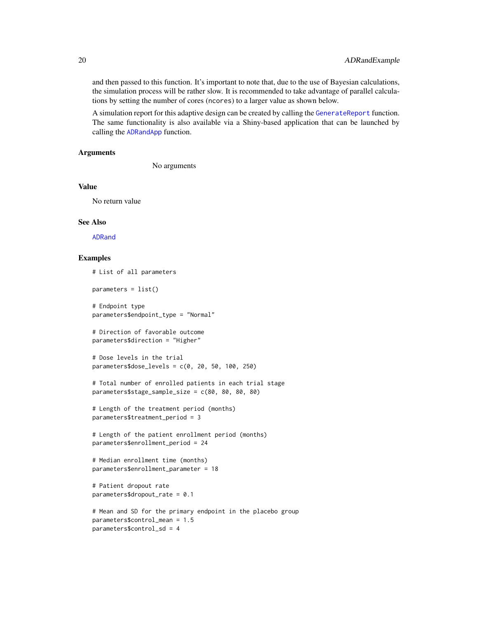and then passed to this function. It's important to note that, due to the use of Bayesian calculations, the simulation process will be rather slow. It is recommended to take advantage of parallel calculations by setting the number of cores (ncores) to a larger value as shown below.

A simulation report for this adaptive design can be created by calling the [GenerateReport](#page-60-1) function. The same functionality is also available via a Shiny-based application that can be launched by calling the [ADRandApp](#page-17-1) function.

#### Arguments

No arguments

# Value

No return value

#### See Also

[ADRand](#page-15-1)

### Examples

```
# List of all parameters
```
parameters = list()

```
# Endpoint type
parameters$endpoint_type = "Normal"
```

```
# Direction of favorable outcome
parameters$direction = "Higher"
```

```
# Dose levels in the trial
parameters$dose_levels = c(0, 20, 50, 100, 250)
```

```
# Total number of enrolled patients in each trial stage
parameters$stage_sample_size = c(80, 80, 80, 80)
```

```
# Length of the treatment period (months)
parameters$treatment_period = 3
```

```
# Length of the patient enrollment period (months)
parameters$enrollment_period = 24
```

```
# Median enrollment time (months)
parameters$enrollment_parameter = 18
```

```
# Patient dropout rate
parameters$dropout_rate = 0.1
```

```
# Mean and SD for the primary endpoint in the placebo group
parameters$control_mean = 1.5
parameters$control_sd = 4
```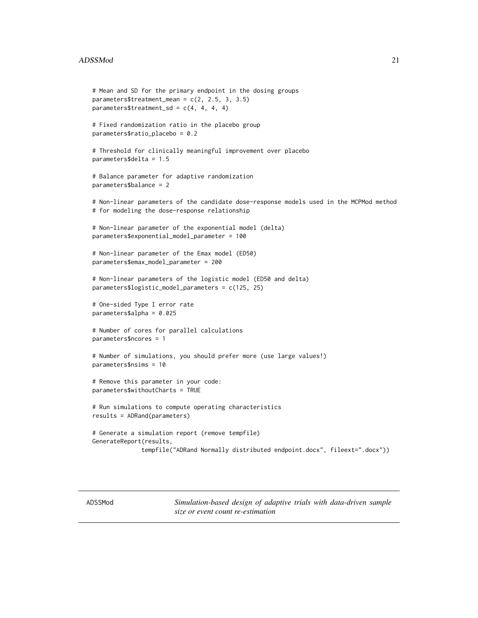#### <span id="page-20-0"></span>ADSSMod 21

```
# Mean and SD for the primary endpoint in the dosing groups
parameters$treatment_mean = c(2, 2.5, 3, 3.5)
parameters$treatment_sd = c(4, 4, 4, 4)# Fixed randomization ratio in the placebo group
parameters$ratio_placebo = 0.2
# Threshold for clinically meaningful improvement over placebo
parameters$delta = 1.5
# Balance parameter for adaptive randomization
parameters$balance = 2
# Non-linear parameters of the candidate dose-response models used in the MCPMod method
# for modeling the dose-response relationship
# Non-linear parameter of the exponential model (delta)
parameters$exponential_model_parameter = 100
# Non-linear parameter of the Emax model (ED50)
parameters$emax_model_parameter = 200
# Non-linear parameters of the logistic model (ED50 and delta)
parameters$logistic_model_parameters = c(125, 25)
# One-sided Type I error rate
parameters$alpha = 0.025
# Number of cores for parallel calculations
parameters$ncores = 1
# Number of simulations, you should prefer more (use large values!)
parameters$nsims = 10
# Remove this parameter in your code:
parameters$withoutCharts = TRUE
# Run simulations to compute operating characteristics
results = ADRand(parameters)
# Generate a simulation report (remove tempfile)
GenerateReport(results,
              tempfile("ADRand Normally distributed endpoint.docx", fileext=".docx"))
```
<span id="page-20-1"></span>ADSSMod *Simulation-based design of adaptive trials with data-driven sample size or event count re-estimation*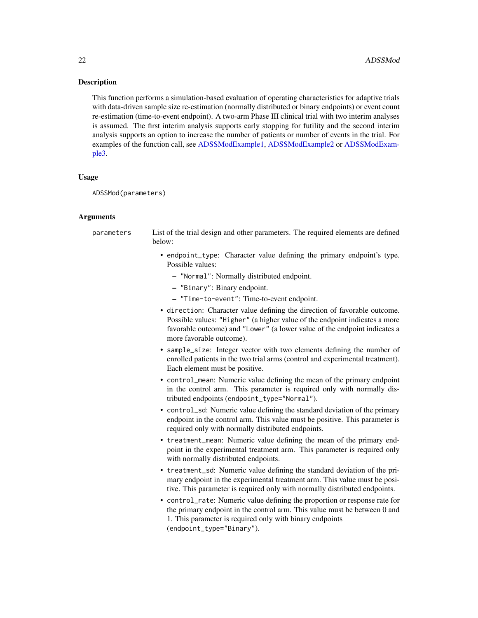#### **Description**

This function performs a simulation-based evaluation of operating characteristics for adaptive trials with data-driven sample size re-estimation (normally distributed or binary endpoints) or event count re-estimation (time-to-event endpoint). A two-arm Phase III clinical trial with two interim analyses is assumed. The first interim analysis supports early stopping for futility and the second interim analysis supports an option to increase the number of patients or number of events in the trial. For examples of the function call, see [ADSSModExample1,](#page-24-1) [ADSSModExample2](#page-26-1) or [ADSSModExam](#page-28-1)[ple3.](#page-28-1)

#### Usage

ADSSMod(parameters)

#### Arguments

parameters List of the trial design and other parameters. The required elements are defined below: • endpoint\_type: Character value defining the primary endpoint's type.

- Possible values:
	- "Normal": Normally distributed endpoint.
	- "Binary": Binary endpoint.
	- "Time-to-event": Time-to-event endpoint.
- direction: Character value defining the direction of favorable outcome. Possible values: "Higher" (a higher value of the endpoint indicates a more favorable outcome) and "Lower" (a lower value of the endpoint indicates a more favorable outcome).
- sample\_size: Integer vector with two elements defining the number of enrolled patients in the two trial arms (control and experimental treatment). Each element must be positive.
- control\_mean: Numeric value defining the mean of the primary endpoint in the control arm. This parameter is required only with normally distributed endpoints (endpoint\_type="Normal").
- control\_sd: Numeric value defining the standard deviation of the primary endpoint in the control arm. This value must be positive. This parameter is required only with normally distributed endpoints.
- treatment\_mean: Numeric value defining the mean of the primary endpoint in the experimental treatment arm. This parameter is required only with normally distributed endpoints.
- treatment\_sd: Numeric value defining the standard deviation of the primary endpoint in the experimental treatment arm. This value must be positive. This parameter is required only with normally distributed endpoints.
- control\_rate: Numeric value defining the proportion or response rate for the primary endpoint in the control arm. This value must be between 0 and 1. This parameter is required only with binary endpoints (endpoint\_type="Binary").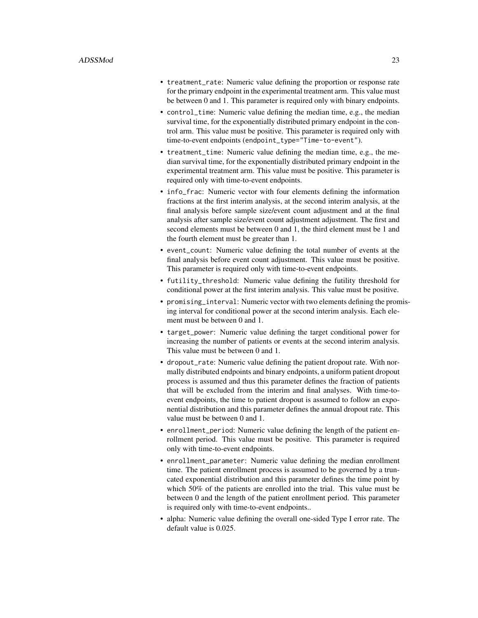- treatment\_rate: Numeric value defining the proportion or response rate for the primary endpoint in the experimental treatment arm. This value must be between 0 and 1. This parameter is required only with binary endpoints.
- control\_time: Numeric value defining the median time, e.g., the median survival time, for the exponentially distributed primary endpoint in the control arm. This value must be positive. This parameter is required only with time-to-event endpoints (endpoint\_type="Time-to-event").
- treatment\_time: Numeric value defining the median time, e.g., the median survival time, for the exponentially distributed primary endpoint in the experimental treatment arm. This value must be positive. This parameter is required only with time-to-event endpoints.
- info\_frac: Numeric vector with four elements defining the information fractions at the first interim analysis, at the second interim analysis, at the final analysis before sample size/event count adjustment and at the final analysis after sample size/event count adjustment adjustment. The first and second elements must be between 0 and 1, the third element must be 1 and the fourth element must be greater than 1.
- event\_count: Numeric value defining the total number of events at the final analysis before event count adjustment. This value must be positive. This parameter is required only with time-to-event endpoints.
- futility\_threshold: Numeric value defining the futility threshold for conditional power at the first interim analysis. This value must be positive.
- promising\_interval: Numeric vector with two elements defining the promising interval for conditional power at the second interim analysis. Each element must be between 0 and 1.
- target\_power: Numeric value defining the target conditional power for increasing the number of patients or events at the second interim analysis. This value must be between 0 and 1.
- dropout\_rate: Numeric value defining the patient dropout rate. With normally distributed endpoints and binary endpoints, a uniform patient dropout process is assumed and thus this parameter defines the fraction of patients that will be excluded from the interim and final analyses. With time-toevent endpoints, the time to patient dropout is assumed to follow an exponential distribution and this parameter defines the annual dropout rate. This value must be between 0 and 1.
- enrollment\_period: Numeric value defining the length of the patient enrollment period. This value must be positive. This parameter is required only with time-to-event endpoints.
- enrollment\_parameter: Numeric value defining the median enrollment time. The patient enrollment process is assumed to be governed by a truncated exponential distribution and this parameter defines the time point by which 50% of the patients are enrolled into the trial. This value must be between 0 and the length of the patient enrollment period. This parameter is required only with time-to-event endpoints..
- alpha: Numeric value defining the overall one-sided Type I error rate. The default value is 0.025.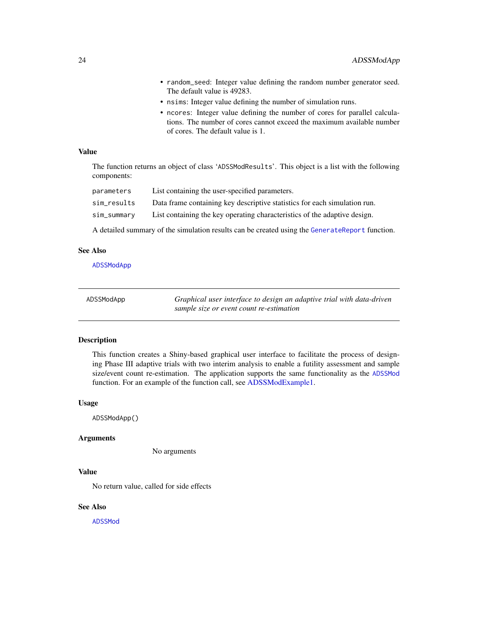- <span id="page-23-0"></span>• random\_seed: Integer value defining the random number generator seed. The default value is 49283.
- nsims: Integer value defining the number of simulation runs.
- ncores: Integer value defining the number of cores for parallel calculations. The number of cores cannot exceed the maximum available number of cores. The default value is 1.

#### Value

The function returns an object of class 'ADSSModResults'. This object is a list with the following components:

| parameters  | List containing the user-specified parameters.                            |
|-------------|---------------------------------------------------------------------------|
| sim_results | Data frame containing key descriptive statistics for each simulation run. |
| sim_summary | List containing the key operating characteristics of the adaptive design. |

A detailed summary of the simulation results can be created using the [GenerateReport](#page-60-1) function.

#### See Also

[ADSSModApp](#page-23-1)

<span id="page-23-1"></span>

| ADSSModApp | Graphical user interface to design an adaptive trial with data-driven |
|------------|-----------------------------------------------------------------------|
|            | sample size or event count re-estimation                              |

#### Description

This function creates a Shiny-based graphical user interface to facilitate the process of designing Phase III adaptive trials with two interim analysis to enable a futility assessment and sample size/event count re-estimation. The application supports the same functionality as the [ADSSMod](#page-20-1) function. For an example of the function call, see [ADSSModExample1.](#page-24-1)

#### Usage

ADSSModApp()

#### Arguments

No arguments

# Value

No return value, called for side effects

#### See Also

[ADSSMod](#page-20-1)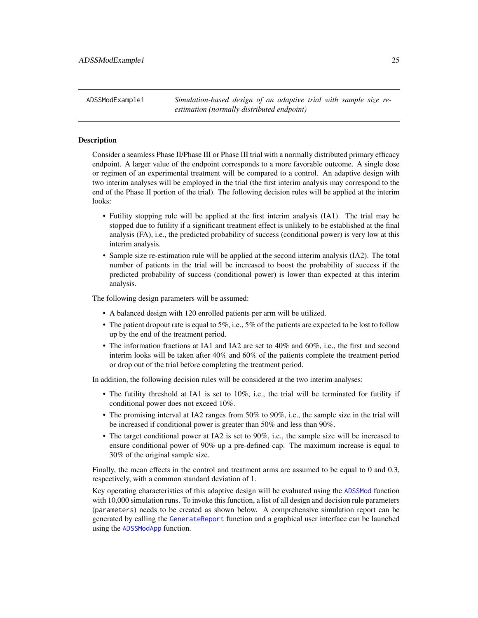<span id="page-24-1"></span><span id="page-24-0"></span>ADSSModExample1 *Simulation-based design of an adaptive trial with sample size reestimation (normally distributed endpoint)*

#### Description

Consider a seamless Phase II/Phase III or Phase III trial with a normally distributed primary efficacy endpoint. A larger value of the endpoint corresponds to a more favorable outcome. A single dose or regimen of an experimental treatment will be compared to a control. An adaptive design with two interim analyses will be employed in the trial (the first interim analysis may correspond to the end of the Phase II portion of the trial). The following decision rules will be applied at the interim looks:

- Futility stopping rule will be applied at the first interim analysis (IA1). The trial may be stopped due to futility if a significant treatment effect is unlikely to be established at the final analysis (FA), i.e., the predicted probability of success (conditional power) is very low at this interim analysis.
- Sample size re-estimation rule will be applied at the second interim analysis (IA2). The total number of patients in the trial will be increased to boost the probability of success if the predicted probability of success (conditional power) is lower than expected at this interim analysis.

The following design parameters will be assumed:

- A balanced design with 120 enrolled patients per arm will be utilized.
- The patient dropout rate is equal to 5%, i.e., 5% of the patients are expected to be lost to follow up by the end of the treatment period.
- The information fractions at IA1 and IA2 are set to 40% and 60%, i.e., the first and second interim looks will be taken after 40% and 60% of the patients complete the treatment period or drop out of the trial before completing the treatment period.

In addition, the following decision rules will be considered at the two interim analyses:

- The futility threshold at IA1 is set to 10%, i.e., the trial will be terminated for futility if conditional power does not exceed 10%.
- The promising interval at IA2 ranges from 50% to 90%, i.e., the sample size in the trial will be increased if conditional power is greater than 50% and less than 90%.
- The target conditional power at IA2 is set to 90%, i.e., the sample size will be increased to ensure conditional power of 90% up a pre-defined cap. The maximum increase is equal to 30% of the original sample size.

Finally, the mean effects in the control and treatment arms are assumed to be equal to 0 and 0.3, respectively, with a common standard deviation of 1.

Key operating characteristics of this adaptive design will be evaluated using the [ADSSMod](#page-20-1) function with 10,000 simulation runs. To invoke this function, a list of all design and decision rule parameters (parameters) needs to be created as shown below. A comprehensive simulation report can be generated by calling the [GenerateReport](#page-60-1) function and a graphical user interface can be launched using the [ADSSModApp](#page-23-1) function.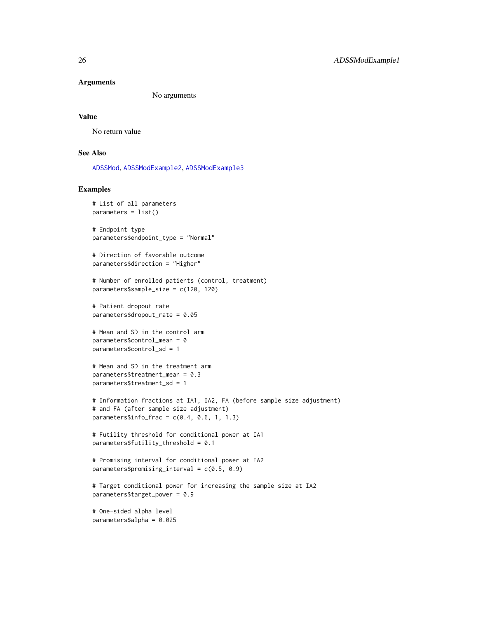#### **Arguments**

No arguments

#### Value

No return value

# List of all parameters

#### See Also

[ADSSMod](#page-20-1), [ADSSModExample2](#page-26-1), [ADSSModExample3](#page-28-1)

# Examples

```
parameters = list()# Endpoint type
parameters$endpoint_type = "Normal"
# Direction of favorable outcome
parameters$direction = "Higher"
# Number of enrolled patients (control, treatment)
parameters$sample_size = c(120, 120)
# Patient dropout rate
parameters$dropout_rate = 0.05
# Mean and SD in the control arm
parameters$control_mean = 0
parameters$control_sd = 1
# Mean and SD in the treatment arm
parameters$treatment_mean = 0.3
parameters$treatment_sd = 1
# Information fractions at IA1, IA2, FA (before sample size adjustment)
# and FA (after sample size adjustment)
parameters$info_frac = c(0.4, 0.6, 1, 1.3)# Futility threshold for conditional power at IA1
parameters$futility_threshold = 0.1
# Promising interval for conditional power at IA2
parameters$promising_interval = c(0.5, 0.9)
# Target conditional power for increasing the sample size at IA2
parameters$target_power = 0.9
# One-sided alpha level
```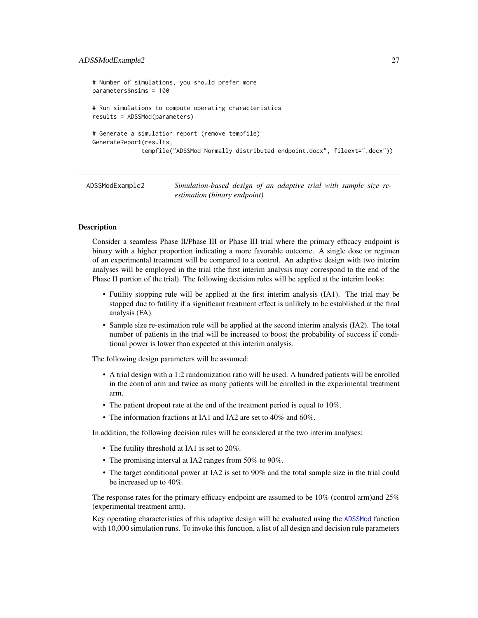#### <span id="page-26-0"></span>ADSSModExample2 27

```
# Number of simulations, you should prefer more
parameters$nsims = 100
# Run simulations to compute operating characteristics
results = ADSSMod(parameters)
# Generate a simulation report (remove tempfile)
GenerateReport(results,
              tempfile("ADSSMod Normally distributed endpoint.docx", fileext=".docx"))
```
<span id="page-26-1"></span>ADSSModExample2 *Simulation-based design of an adaptive trial with sample size reestimation (binary endpoint)*

# **Description**

Consider a seamless Phase II/Phase III or Phase III trial where the primary efficacy endpoint is binary with a higher proportion indicating a more favorable outcome. A single dose or regimen of an experimental treatment will be compared to a control. An adaptive design with two interim analyses will be employed in the trial (the first interim analysis may correspond to the end of the Phase II portion of the trial). The following decision rules will be applied at the interim looks:

- Futility stopping rule will be applied at the first interim analysis (IA1). The trial may be stopped due to futility if a significant treatment effect is unlikely to be established at the final analysis (FA).
- Sample size re-estimation rule will be applied at the second interim analysis (IA2). The total number of patients in the trial will be increased to boost the probability of success if conditional power is lower than expected at this interim analysis.

The following design parameters will be assumed:

- A trial design with a 1:2 randomization ratio will be used. A hundred patients will be enrolled in the control arm and twice as many patients will be enrolled in the experimental treatment arm.
- The patient dropout rate at the end of the treatment period is equal to 10%.
- The information fractions at IA1 and IA2 are set to 40% and 60%.

In addition, the following decision rules will be considered at the two interim analyses:

- The futility threshold at IA1 is set to 20%.
- The promising interval at IA2 ranges from 50% to 90%.
- The target conditional power at IA2 is set to 90% and the total sample size in the trial could be increased up to 40%.

The response rates for the primary efficacy endpoint are assumed to be 10% (control arm)and 25% (experimental treatment arm).

Key operating characteristics of this adaptive design will be evaluated using the [ADSSMod](#page-20-1) function with 10,000 simulation runs. To invoke this function, a list of all design and decision rule parameters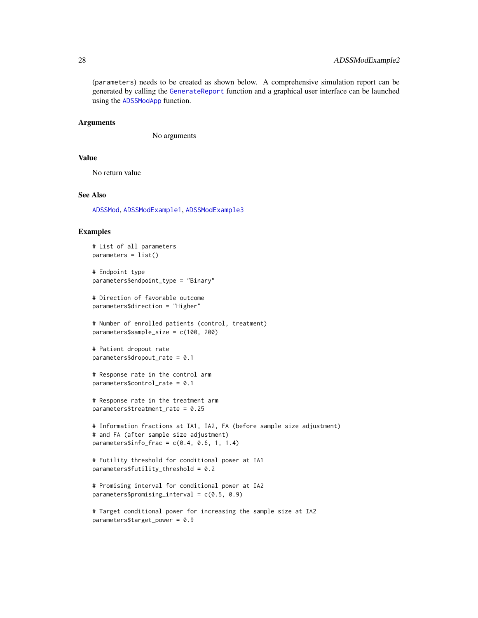(parameters) needs to be created as shown below. A comprehensive simulation report can be generated by calling the [GenerateReport](#page-60-1) function and a graphical user interface can be launched using the [ADSSModApp](#page-23-1) function.

#### Arguments

No arguments

#### Value

No return value

# See Also

[ADSSMod](#page-20-1), [ADSSModExample1](#page-24-1), [ADSSModExample3](#page-28-1)

#### Examples

```
# List of all parameters
parameters = list()
# Endpoint type
parameters$endpoint_type = "Binary"
# Direction of favorable outcome
parameters$direction = "Higher"
# Number of enrolled patients (control, treatment)
parameters$sample_size = c(100, 200)
# Patient dropout rate
parameters$dropout_rate = 0.1
# Response rate in the control arm
parameters$control_rate = 0.1
# Response rate in the treatment arm
parameters$treatment_rate = 0.25
# Information fractions at IA1, IA2, FA (before sample size adjustment)
# and FA (after sample size adjustment)
parameters$info_frac = c(0.4, 0.6, 1, 1.4)# Futility threshold for conditional power at IA1
parameters$futility_threshold = 0.2
# Promising interval for conditional power at IA2
parameters$promising_interval = c(0.5, 0.9)
# Target conditional power for increasing the sample size at IA2
```

```
parameters$target_power = 0.9
```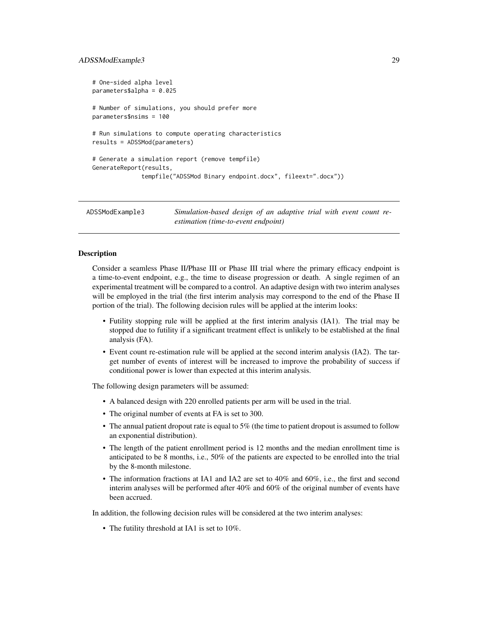#### <span id="page-28-0"></span>ADSSModExample3 29

```
# One-sided alpha level
parameters$alpha = 0.025
# Number of simulations, you should prefer more
parameters$nsims = 100
# Run simulations to compute operating characteristics
results = ADSSMod(parameters)
# Generate a simulation report (remove tempfile)
GenerateReport(results,
              tempfile("ADSSMod Binary endpoint.docx", fileext=".docx"))
```
<span id="page-28-1"></span>ADSSModExample3 *Simulation-based design of an adaptive trial with event count reestimation (time-to-event endpoint)*

# Description

Consider a seamless Phase II/Phase III or Phase III trial where the primary efficacy endpoint is a time-to-event endpoint, e.g., the time to disease progression or death. A single regimen of an experimental treatment will be compared to a control. An adaptive design with two interim analyses will be employed in the trial (the first interim analysis may correspond to the end of the Phase II portion of the trial). The following decision rules will be applied at the interim looks:

- Futility stopping rule will be applied at the first interim analysis (IA1). The trial may be stopped due to futility if a significant treatment effect is unlikely to be established at the final analysis (FA).
- Event count re-estimation rule will be applied at the second interim analysis (IA2). The target number of events of interest will be increased to improve the probability of success if conditional power is lower than expected at this interim analysis.

The following design parameters will be assumed:

- A balanced design with 220 enrolled patients per arm will be used in the trial.
- The original number of events at FA is set to 300.
- The annual patient dropout rate is equal to 5% (the time to patient dropout is assumed to follow an exponential distribution).
- The length of the patient enrollment period is 12 months and the median enrollment time is anticipated to be 8 months, i.e., 50% of the patients are expected to be enrolled into the trial by the 8-month milestone.
- The information fractions at IA1 and IA2 are set to 40% and 60%, i.e., the first and second interim analyses will be performed after 40% and 60% of the original number of events have been accrued.

In addition, the following decision rules will be considered at the two interim analyses:

• The futility threshold at IA1 is set to 10%.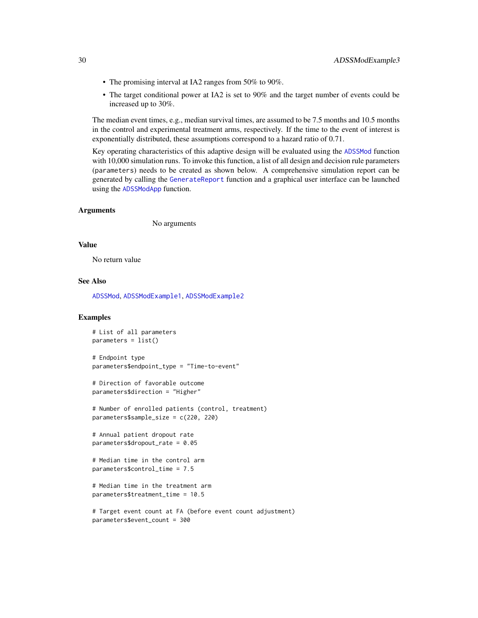- The promising interval at IA2 ranges from 50% to 90%.
- The target conditional power at IA2 is set to 90% and the target number of events could be increased up to 30%.

The median event times, e.g., median survival times, are assumed to be 7.5 months and 10.5 months in the control and experimental treatment arms, respectively. If the time to the event of interest is exponentially distributed, these assumptions correspond to a hazard ratio of 0.71.

Key operating characteristics of this adaptive design will be evaluated using the [ADSSMod](#page-20-1) function with 10,000 simulation runs. To invoke this function, a list of all design and decision rule parameters (parameters) needs to be created as shown below. A comprehensive simulation report can be generated by calling the [GenerateReport](#page-60-1) function and a graphical user interface can be launched using the [ADSSModApp](#page-23-1) function.

#### Arguments

No arguments

#### Value

No return value

#### See Also

[ADSSMod](#page-20-1), [ADSSModExample1](#page-24-1), [ADSSModExample2](#page-26-1)

# Examples

```
# List of all parameters
parameters = list()
```

```
# Endpoint type
parameters$endpoint_type = "Time-to-event"
```

```
# Direction of favorable outcome
parameters$direction = "Higher"
```

```
# Number of enrolled patients (control, treatment)
parameters$sample_size = c(220, 220)
```

```
# Annual patient dropout rate
parameters$dropout_rate = 0.05
```

```
# Median time in the control arm
parameters$control_time = 7.5
```

```
# Median time in the treatment arm
parameters$treatment_time = 10.5
```

```
# Target event count at FA (before event count adjustment)
parameters$event_count = 300
```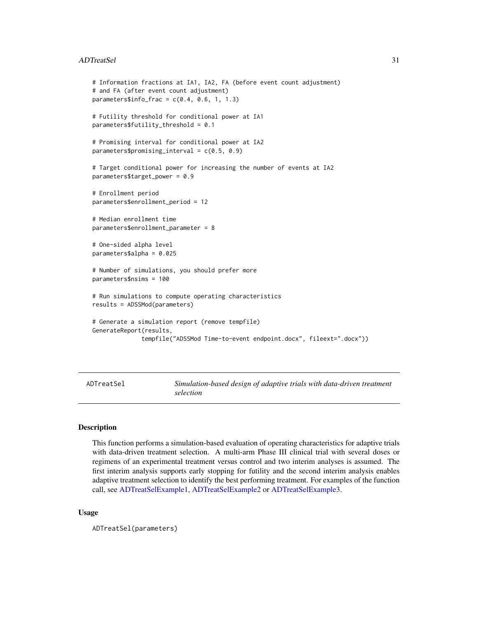#### <span id="page-30-0"></span>ADTreatSel 31

```
# Information fractions at IA1, IA2, FA (before event count adjustment)
# and FA (after event count adjustment)
parameters$info_frac = c(0.4, 0.6, 1, 1.3)# Futility threshold for conditional power at IA1
parameters$futility_threshold = 0.1
# Promising interval for conditional power at IA2
parameters$promising_interval = c(0.5, 0.9)
# Target conditional power for increasing the number of events at IA2
parameters$target_power = 0.9
# Enrollment period
parameters$enrollment_period = 12
# Median enrollment time
parameters$enrollment_parameter = 8
# One-sided alpha level
parameters$alpha = 0.025
# Number of simulations, you should prefer more
parameters$nsims = 100
# Run simulations to compute operating characteristics
results = ADSSMod(parameters)
# Generate a simulation report (remove tempfile)
GenerateReport(results,
              tempfile("ADSSMod Time-to-event endpoint.docx", fileext=".docx"))
```
<span id="page-30-1"></span>ADTreatSel *Simulation-based design of adaptive trials with data-driven treatment selection*

#### Description

This function performs a simulation-based evaluation of operating characteristics for adaptive trials with data-driven treatment selection. A multi-arm Phase III clinical trial with several doses or regimens of an experimental treatment versus control and two interim analyses is assumed. The first interim analysis supports early stopping for futility and the second interim analysis enables adaptive treatment selection to identify the best performing treatment. For examples of the function call, see [ADTreatSelExample1,](#page-33-2) [ADTreatSelExample2](#page-35-1) or [ADTreatSelExample3.](#page-37-1)

#### Usage

ADTreatSel(parameters)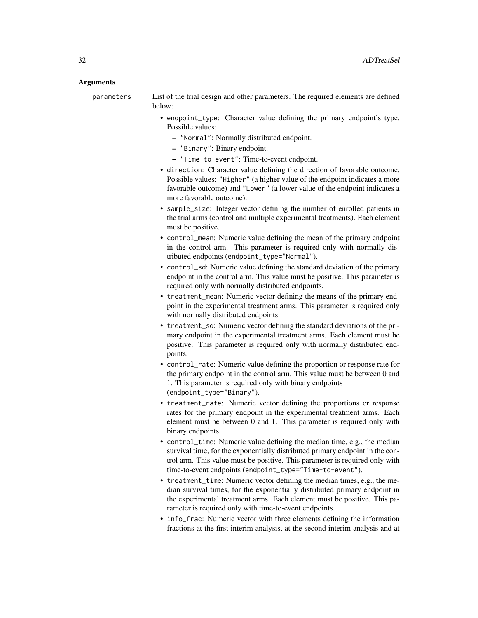#### Arguments

parameters List of the trial design and other parameters. The required elements are defined below:

- endpoint\_type: Character value defining the primary endpoint's type. Possible values:
	- "Normal": Normally distributed endpoint.
	- "Binary": Binary endpoint.
	- "Time-to-event": Time-to-event endpoint.
- direction: Character value defining the direction of favorable outcome. Possible values: "Higher" (a higher value of the endpoint indicates a more favorable outcome) and "Lower" (a lower value of the endpoint indicates a more favorable outcome).
- sample\_size: Integer vector defining the number of enrolled patients in the trial arms (control and multiple experimental treatments). Each element must be positive.
- control\_mean: Numeric value defining the mean of the primary endpoint in the control arm. This parameter is required only with normally distributed endpoints (endpoint\_type="Normal").
- control\_sd: Numeric value defining the standard deviation of the primary endpoint in the control arm. This value must be positive. This parameter is required only with normally distributed endpoints.
- treatment\_mean: Numeric vector defining the means of the primary endpoint in the experimental treatment arms. This parameter is required only with normally distributed endpoints.
- treatment\_sd: Numeric vector defining the standard deviations of the primary endpoint in the experimental treatment arms. Each element must be positive. This parameter is required only with normally distributed endpoints.
- control\_rate: Numeric value defining the proportion or response rate for the primary endpoint in the control arm. This value must be between 0 and 1. This parameter is required only with binary endpoints (endpoint\_type="Binary").
- treatment\_rate: Numeric vector defining the proportions or response rates for the primary endpoint in the experimental treatment arms. Each element must be between 0 and 1. This parameter is required only with binary endpoints.
- control\_time: Numeric value defining the median time, e.g., the median survival time, for the exponentially distributed primary endpoint in the control arm. This value must be positive. This parameter is required only with time-to-event endpoints (endpoint\_type="Time-to-event").
- treatment\_time: Numeric vector defining the median times, e.g., the median survival times, for the exponentially distributed primary endpoint in the experimental treatment arms. Each element must be positive. This parameter is required only with time-to-event endpoints.
- info\_frac: Numeric vector with three elements defining the information fractions at the first interim analysis, at the second interim analysis and at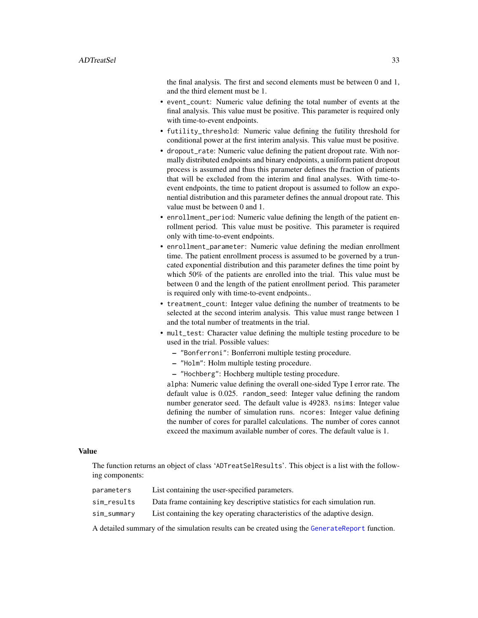the final analysis. The first and second elements must be between 0 and 1, and the third element must be 1.

- event\_count: Numeric value defining the total number of events at the final analysis. This value must be positive. This parameter is required only with time-to-event endpoints.
- futility\_threshold: Numeric value defining the futility threshold for conditional power at the first interim analysis. This value must be positive.
- dropout\_rate: Numeric value defining the patient dropout rate. With normally distributed endpoints and binary endpoints, a uniform patient dropout process is assumed and thus this parameter defines the fraction of patients that will be excluded from the interim and final analyses. With time-toevent endpoints, the time to patient dropout is assumed to follow an exponential distribution and this parameter defines the annual dropout rate. This value must be between 0 and 1.
- enrollment\_period: Numeric value defining the length of the patient enrollment period. This value must be positive. This parameter is required only with time-to-event endpoints.
- enrollment\_parameter: Numeric value defining the median enrollment time. The patient enrollment process is assumed to be governed by a truncated exponential distribution and this parameter defines the time point by which 50% of the patients are enrolled into the trial. This value must be between 0 and the length of the patient enrollment period. This parameter is required only with time-to-event endpoints..
- treatment\_count: Integer value defining the number of treatments to be selected at the second interim analysis. This value must range between 1 and the total number of treatments in the trial.
- mult\_test: Character value defining the multiple testing procedure to be used in the trial. Possible values:
	- "Bonferroni": Bonferroni multiple testing procedure.
	- "Holm": Holm multiple testing procedure.
	- "Hochberg": Hochberg multiple testing procedure.

alpha: Numeric value defining the overall one-sided Type I error rate. The default value is 0.025. random\_seed: Integer value defining the random number generator seed. The default value is 49283. nsims: Integer value defining the number of simulation runs. ncores: Integer value defining the number of cores for parallel calculations. The number of cores cannot exceed the maximum available number of cores. The default value is 1.

# Value

The function returns an object of class 'ADTreatSelResults'. This object is a list with the following components:

| parameters  | List containing the user-specified parameters.                            |
|-------------|---------------------------------------------------------------------------|
| sim results | Data frame containing key descriptive statistics for each simulation run. |
| sim_summary | List containing the key operating characteristics of the adaptive design. |

A detailed summary of the simulation results can be created using the [GenerateReport](#page-60-1) function.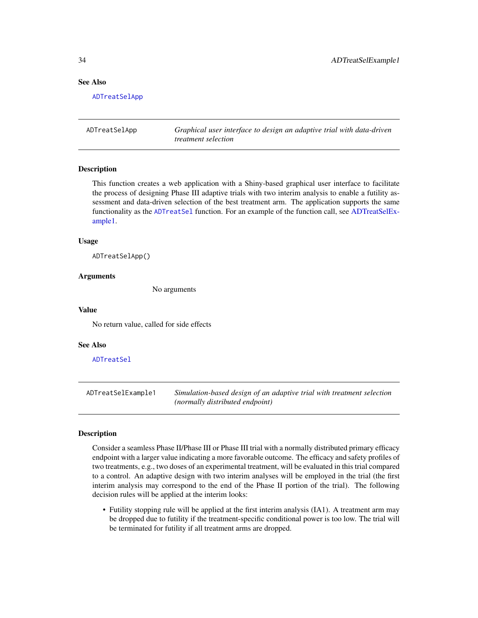#### <span id="page-33-0"></span>See Also

[ADTreatSelApp](#page-33-1)

<span id="page-33-1"></span>ADTreatSelApp *Graphical user interface to design an adaptive trial with data-driven treatment selection*

#### **Description**

This function creates a web application with a Shiny-based graphical user interface to facilitate the process of designing Phase III adaptive trials with two interim analysis to enable a futility assessment and data-driven selection of the best treatment arm. The application supports the same functionality as the [ADTreatSel](#page-30-1) function. For an example of the function call, see [ADTreatSelEx](#page-33-2)[ample1.](#page-33-2)

# Usage

ADTreatSelApp()

#### Arguments

No arguments

#### Value

No return value, called for side effects

#### See Also

[ADTreatSel](#page-30-1)

<span id="page-33-2"></span>ADTreatSelExample1 *Simulation-based design of an adaptive trial with treatment selection (normally distributed endpoint)*

# **Description**

Consider a seamless Phase II/Phase III or Phase III trial with a normally distributed primary efficacy endpoint with a larger value indicating a more favorable outcome. The efficacy and safety profiles of two treatments, e.g., two doses of an experimental treatment, will be evaluated in this trial compared to a control. An adaptive design with two interim analyses will be employed in the trial (the first interim analysis may correspond to the end of the Phase II portion of the trial). The following decision rules will be applied at the interim looks:

• Futility stopping rule will be applied at the first interim analysis (IA1). A treatment arm may be dropped due to futility if the treatment-specific conditional power is too low. The trial will be terminated for futility if all treatment arms are dropped.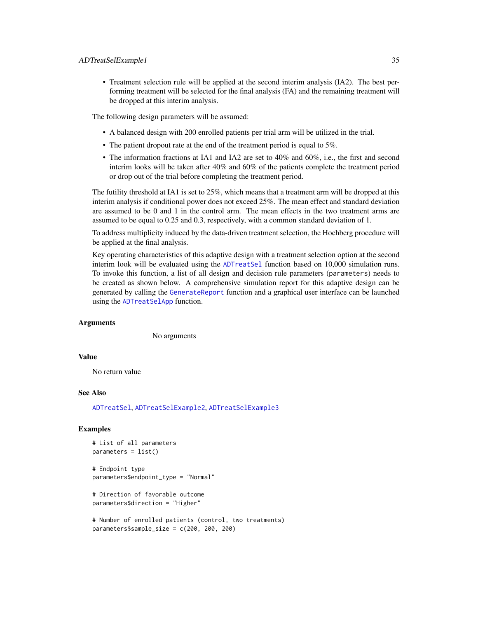• Treatment selection rule will be applied at the second interim analysis (IA2). The best performing treatment will be selected for the final analysis (FA) and the remaining treatment will be dropped at this interim analysis.

The following design parameters will be assumed:

- A balanced design with 200 enrolled patients per trial arm will be utilized in the trial.
- The patient dropout rate at the end of the treatment period is equal to 5%.
- The information fractions at IA1 and IA2 are set to 40% and 60%, i.e., the first and second interim looks will be taken after 40% and 60% of the patients complete the treatment period or drop out of the trial before completing the treatment period.

The futility threshold at IA1 is set to 25%, which means that a treatment arm will be dropped at this interim analysis if conditional power does not exceed 25%. The mean effect and standard deviation are assumed to be 0 and 1 in the control arm. The mean effects in the two treatment arms are assumed to be equal to 0.25 and 0.3, respectively, with a common standard deviation of 1.

To address multiplicity induced by the data-driven treatment selection, the Hochberg procedure will be applied at the final analysis.

Key operating characteristics of this adaptive design with a treatment selection option at the second interim look will be evaluated using the [ADTreatSel](#page-30-1) function based on 10,000 simulation runs. To invoke this function, a list of all design and decision rule parameters (parameters) needs to be created as shown below. A comprehensive simulation report for this adaptive design can be generated by calling the [GenerateReport](#page-60-1) function and a graphical user interface can be launched using the [ADTreatSelApp](#page-33-1) function.

# Arguments

No arguments

# Value

No return value

#### See Also

[ADTreatSel](#page-30-1), [ADTreatSelExample2](#page-35-1), [ADTreatSelExample3](#page-37-1)

#### Examples

```
# List of all parameters
parameters = list()
```
# Endpoint type parameters\$endpoint\_type = "Normal"

```
# Direction of favorable outcome
parameters$direction = "Higher"
```

```
# Number of enrolled patients (control, two treatments)
parameters$sample_size = c(200, 200, 200)
```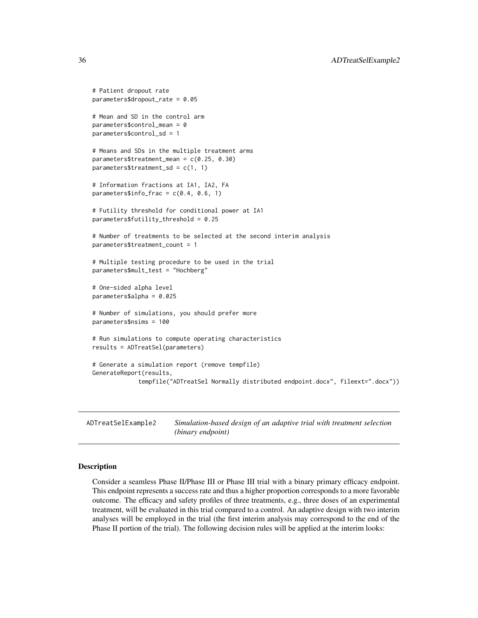```
# Patient dropout rate
parameters$dropout_rate = 0.05
# Mean and SD in the control arm
parameters$control_mean = 0
parameters$control_sd = 1
# Means and SDs in the multiple treatment arms
parameters$treatment_mean = c(0.25, 0.30)
parameters$treatment_sd = c(1, 1)# Information fractions at IA1, IA2, FA
parameters$info-frac = c(0.4, 0.6, 1)# Futility threshold for conditional power at IA1
parameters$futility_threshold = 0.25
# Number of treatments to be selected at the second interim analysis
parameters$treatment_count = 1
# Multiple testing procedure to be used in the trial
parameters$mult_test = "Hochberg"
# One-sided alpha level
parameters$alpha = 0.025
# Number of simulations, you should prefer more
parameters$nsims = 100
# Run simulations to compute operating characteristics
results = ADTreatSel(parameters)
# Generate a simulation report (remove tempfile)
GenerateReport(results,
             tempfile("ADTreatSel Normally distributed endpoint.docx", fileext=".docx"))
```
<span id="page-35-1"></span>ADTreatSelExample2 *Simulation-based design of an adaptive trial with treatment selection (binary endpoint)*

#### Description

Consider a seamless Phase II/Phase III or Phase III trial with a binary primary efficacy endpoint. This endpoint represents a success rate and thus a higher proportion corresponds to a more favorable outcome. The efficacy and safety profiles of three treatments, e.g., three doses of an experimental treatment, will be evaluated in this trial compared to a control. An adaptive design with two interim analyses will be employed in the trial (the first interim analysis may correspond to the end of the Phase II portion of the trial). The following decision rules will be applied at the interim looks:

<span id="page-35-0"></span>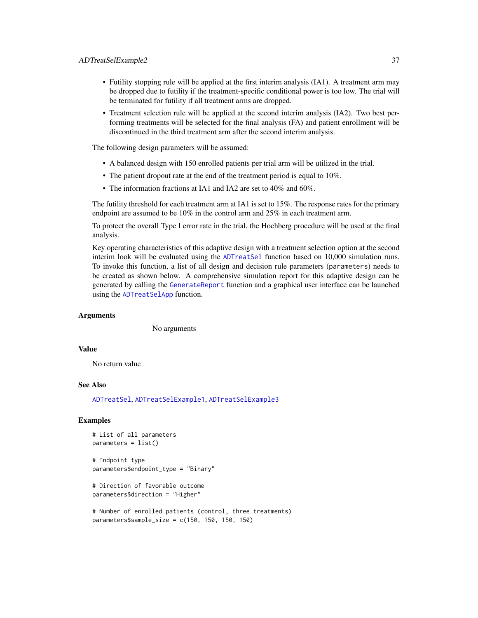- Futility stopping rule will be applied at the first interim analysis (IA1). A treatment arm may be dropped due to futility if the treatment-specific conditional power is too low. The trial will be terminated for futility if all treatment arms are dropped.
- Treatment selection rule will be applied at the second interim analysis (IA2). Two best performing treatments will be selected for the final analysis (FA) and patient enrollment will be discontinued in the third treatment arm after the second interim analysis.

The following design parameters will be assumed:

- A balanced design with 150 enrolled patients per trial arm will be utilized in the trial.
- The patient dropout rate at the end of the treatment period is equal to 10%.
- The information fractions at IA1 and IA2 are set to 40% and 60%.

The futility threshold for each treatment arm at IA1 is set to 15%. The response rates for the primary endpoint are assumed to be 10% in the control arm and 25% in each treatment arm.

To protect the overall Type I error rate in the trial, the Hochberg procedure will be used at the final analysis.

Key operating characteristics of this adaptive design with a treatment selection option at the second interim look will be evaluated using the [ADTreatSel](#page-30-0) function based on 10,000 simulation runs. To invoke this function, a list of all design and decision rule parameters (parameters) needs to be created as shown below. A comprehensive simulation report for this adaptive design can be generated by calling the [GenerateReport](#page-60-0) function and a graphical user interface can be launched using the [ADTreatSelApp](#page-33-0) function.

#### Arguments

No arguments

## Value

No return value

### See Also

[ADTreatSel](#page-30-0), [ADTreatSelExample1](#page-33-1), [ADTreatSelExample3](#page-37-0)

### Examples

```
# List of all parameters
parameters = list()
```

```
# Endpoint type
parameters$endpoint_type = "Binary"
```

```
# Direction of favorable outcome
parameters$direction = "Higher"
```

```
# Number of enrolled patients (control, three treatments)
parameters$sample_size = c(150, 150, 150, 150)
```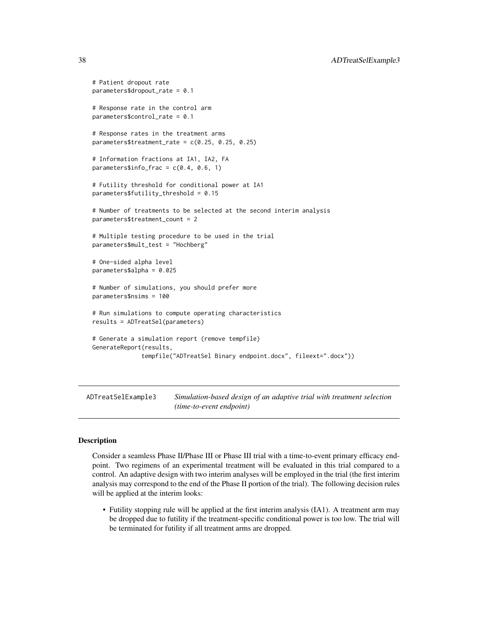```
# Patient dropout rate
parameters$dropout_rate = 0.1
# Response rate in the control arm
parameters$control_rate = 0.1
# Response rates in the treatment arms
parameters$treatment_rate = c(0.25, 0.25, 0.25)
# Information fractions at IA1, IA2, FA
parameters$info-frac = c(0.4, 0.6, 1)# Futility threshold for conditional power at IA1
parameters$futility_threshold = 0.15
# Number of treatments to be selected at the second interim analysis
parameters$treatment_count = 2
# Multiple testing procedure to be used in the trial
parameters$mult_test = "Hochberg"
# One-sided alpha level
parameters$alpha = 0.025
# Number of simulations, you should prefer more
parameters$nsims = 100
# Run simulations to compute operating characteristics
results = ADTreatSel(parameters)
# Generate a simulation report (remove tempfile)
GenerateReport(results,
              tempfile("ADTreatSel Binary endpoint.docx", fileext=".docx"))
```
<span id="page-37-0"></span>ADTreatSelExample3 *Simulation-based design of an adaptive trial with treatment selection (time-to-event endpoint)*

#### **Description**

Consider a seamless Phase II/Phase III or Phase III trial with a time-to-event primary efficacy endpoint. Two regimens of an experimental treatment will be evaluated in this trial compared to a control. An adaptive design with two interim analyses will be employed in the trial (the first interim analysis may correspond to the end of the Phase II portion of the trial). The following decision rules will be applied at the interim looks:

• Futility stopping rule will be applied at the first interim analysis (IA1). A treatment arm may be dropped due to futility if the treatment-specific conditional power is too low. The trial will be terminated for futility if all treatment arms are dropped.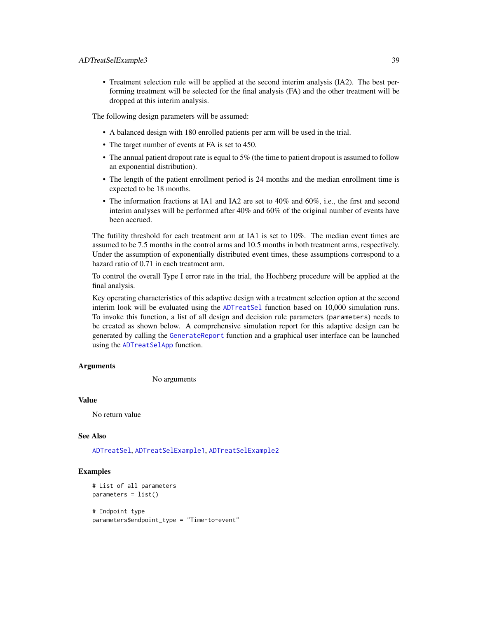• Treatment selection rule will be applied at the second interim analysis (IA2). The best performing treatment will be selected for the final analysis (FA) and the other treatment will be dropped at this interim analysis.

The following design parameters will be assumed:

- A balanced design with 180 enrolled patients per arm will be used in the trial.
- The target number of events at FA is set to 450.
- The annual patient dropout rate is equal to 5% (the time to patient dropout is assumed to follow an exponential distribution).
- The length of the patient enrollment period is 24 months and the median enrollment time is expected to be 18 months.
- The information fractions at IA1 and IA2 are set to 40% and 60%, i.e., the first and second interim analyses will be performed after 40% and 60% of the original number of events have been accrued.

The futility threshold for each treatment arm at IA1 is set to 10%. The median event times are assumed to be 7.5 months in the control arms and 10.5 months in both treatment arms, respectively. Under the assumption of exponentially distributed event times, these assumptions correspond to a hazard ratio of 0.71 in each treatment arm.

To control the overall Type I error rate in the trial, the Hochberg procedure will be applied at the final analysis.

Key operating characteristics of this adaptive design with a treatment selection option at the second interim look will be evaluated using the [ADTreatSel](#page-30-0) function based on 10,000 simulation runs. To invoke this function, a list of all design and decision rule parameters (parameters) needs to be created as shown below. A comprehensive simulation report for this adaptive design can be generated by calling the [GenerateReport](#page-60-0) function and a graphical user interface can be launched using the [ADTreatSelApp](#page-33-0) function.

#### Arguments

No arguments

## Value

No return value

## See Also

[ADTreatSel](#page-30-0), [ADTreatSelExample1](#page-33-1), [ADTreatSelExample2](#page-35-0)

### Examples

```
# List of all parameters
parameters = list()
```
# Endpoint type parameters\$endpoint\_type = "Time-to-event"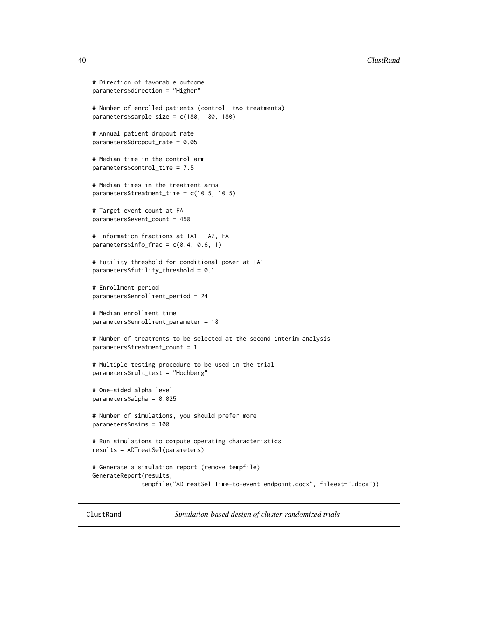#### 40 ClustRand

```
# Direction of favorable outcome
parameters$direction = "Higher"
# Number of enrolled patients (control, two treatments)
parameters$sample_size = c(180, 180, 180)
# Annual patient dropout rate
parameters$dropout_rate = 0.05
# Median time in the control arm
parameters$control_time = 7.5
# Median times in the treatment arms
parameters$treatment_time = c(10.5, 10.5)
# Target event count at FA
parameters$event_count = 450
# Information fractions at IA1, IA2, FA
parameters$info-frac = c(0.4, 0.6, 1)# Futility threshold for conditional power at IA1
parameters$futility_threshold = 0.1
# Enrollment period
parameters$enrollment_period = 24
# Median enrollment time
parameters$enrollment_parameter = 18
# Number of treatments to be selected at the second interim analysis
parameters$treatment_count = 1
# Multiple testing procedure to be used in the trial
parameters$mult_test = "Hochberg"
# One-sided alpha level
parameters$alpha = 0.025
# Number of simulations, you should prefer more
parameters$nsims = 100
# Run simulations to compute operating characteristics
results = ADTreatSel(parameters)
# Generate a simulation report (remove tempfile)
GenerateReport(results,
              tempfile("ADTreatSel Time-to-event endpoint.docx", fileext=".docx"))
```
<span id="page-39-0"></span>ClustRand *Simulation-based design of cluster-randomized trials*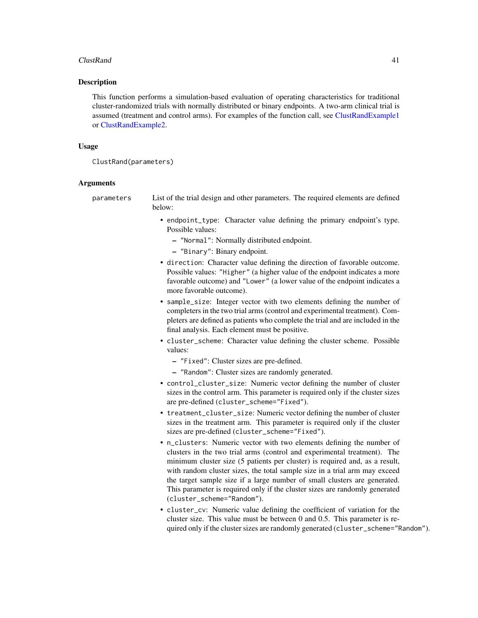#### $ClustRand$  41

### Description

This function performs a simulation-based evaluation of operating characteristics for traditional cluster-randomized trials with normally distributed or binary endpoints. A two-arm clinical trial is assumed (treatment and control arms). For examples of the function call, see [ClustRandExample1](#page-42-0) or [ClustRandExample2.](#page-45-0)

#### Usage

ClustRand(parameters)

#### Arguments

parameters List of the trial design and other parameters. The required elements are defined below:

- endpoint\_type: Character value defining the primary endpoint's type. Possible values:
	- "Normal": Normally distributed endpoint.
	- "Binary": Binary endpoint.
- direction: Character value defining the direction of favorable outcome. Possible values: "Higher" (a higher value of the endpoint indicates a more favorable outcome) and "Lower" (a lower value of the endpoint indicates a more favorable outcome).
- sample\_size: Integer vector with two elements defining the number of completers in the two trial arms (control and experimental treatment). Completers are defined as patients who complete the trial and are included in the final analysis. Each element must be positive.
- cluster\_scheme: Character value defining the cluster scheme. Possible values:
	- "Fixed": Cluster sizes are pre-defined.
	- "Random": Cluster sizes are randomly generated.
- control\_cluster\_size: Numeric vector defining the number of cluster sizes in the control arm. This parameter is required only if the cluster sizes are pre-defined (cluster\_scheme="Fixed").
- treatment\_cluster\_size: Numeric vector defining the number of cluster sizes in the treatment arm. This parameter is required only if the cluster sizes are pre-defined (cluster\_scheme="Fixed").
- n\_clusters: Numeric vector with two elements defining the number of clusters in the two trial arms (control and experimental treatment). The minimum cluster size (5 patients per cluster) is required and, as a result, with random cluster sizes, the total sample size in a trial arm may exceed the target sample size if a large number of small clusters are generated. This parameter is required only if the cluster sizes are randomly generated (cluster\_scheme="Random").
- cluster\_cv: Numeric value defining the coefficient of variation for the cluster size. This value must be between 0 and 0.5. This parameter is required only if the cluster sizes are randomly generated (cluster\_scheme="Random").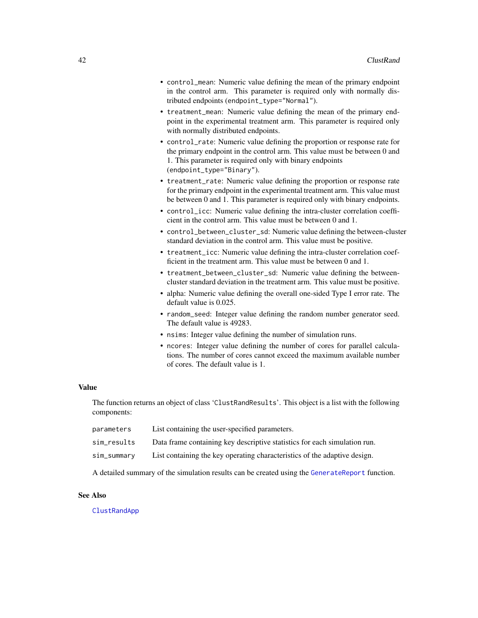- control\_mean: Numeric value defining the mean of the primary endpoint in the control arm. This parameter is required only with normally distributed endpoints (endpoint\_type="Normal").
- treatment\_mean: Numeric value defining the mean of the primary endpoint in the experimental treatment arm. This parameter is required only with normally distributed endpoints.
- control\_rate: Numeric value defining the proportion or response rate for the primary endpoint in the control arm. This value must be between 0 and 1. This parameter is required only with binary endpoints (endpoint\_type="Binary").
- treatment\_rate: Numeric value defining the proportion or response rate for the primary endpoint in the experimental treatment arm. This value must be between 0 and 1. This parameter is required only with binary endpoints.
- control\_icc: Numeric value defining the intra-cluster correlation coefficient in the control arm. This value must be between 0 and 1.
- control\_between\_cluster\_sd: Numeric value defining the between-cluster standard deviation in the control arm. This value must be positive.
- treatment\_icc: Numeric value defining the intra-cluster correlation coefficient in the treatment arm. This value must be between 0 and 1.
- treatment\_between\_cluster\_sd: Numeric value defining the betweencluster standard deviation in the treatment arm. This value must be positive.
- alpha: Numeric value defining the overall one-sided Type I error rate. The default value is 0.025.
- random\_seed: Integer value defining the random number generator seed. The default value is 49283.
- nsims: Integer value defining the number of simulation runs.
- ncores: Integer value defining the number of cores for parallel calculations. The number of cores cannot exceed the maximum available number of cores. The default value is 1.

#### Value

The function returns an object of class 'ClustRandResults'. This object is a list with the following components:

| parameters  | List containing the user-specified parameters.                            |
|-------------|---------------------------------------------------------------------------|
| sim_results | Data frame containing key descriptive statistics for each simulation run. |
| sim_summary | List containing the key operating characteristics of the adaptive design. |

A detailed summary of the simulation results can be created using the [GenerateReport](#page-60-0) function.

#### See Also

## [ClustRandApp](#page-42-1)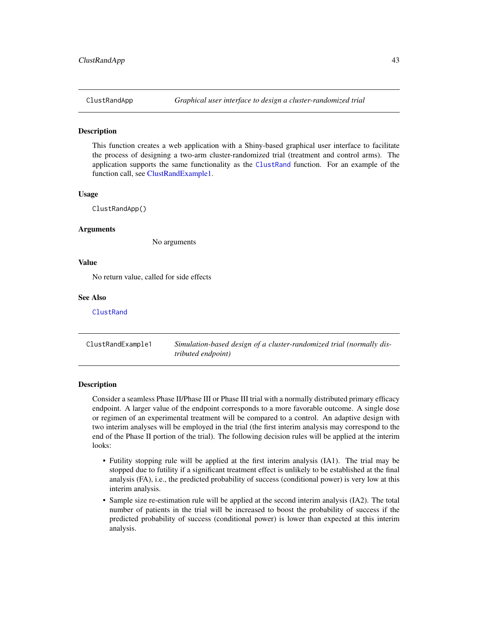<span id="page-42-1"></span>

#### **Description**

This function creates a web application with a Shiny-based graphical user interface to facilitate the process of designing a two-arm cluster-randomized trial (treatment and control arms). The application supports the same functionality as the [ClustRand](#page-39-0) function. For an example of the function call, see [ClustRandExample1.](#page-42-0)

#### Usage

ClustRandApp()

#### **Arguments**

No arguments

## Value

No return value, called for side effects

#### See Also

**[ClustRand](#page-39-0)** 

<span id="page-42-0"></span>ClustRandExample1 *Simulation-based design of a cluster-randomized trial (normally distributed endpoint)*

### Description

Consider a seamless Phase II/Phase III or Phase III trial with a normally distributed primary efficacy endpoint. A larger value of the endpoint corresponds to a more favorable outcome. A single dose or regimen of an experimental treatment will be compared to a control. An adaptive design with two interim analyses will be employed in the trial (the first interim analysis may correspond to the end of the Phase II portion of the trial). The following decision rules will be applied at the interim looks:

- Futility stopping rule will be applied at the first interim analysis (IA1). The trial may be stopped due to futility if a significant treatment effect is unlikely to be established at the final analysis (FA), i.e., the predicted probability of success (conditional power) is very low at this interim analysis.
- Sample size re-estimation rule will be applied at the second interim analysis (IA2). The total number of patients in the trial will be increased to boost the probability of success if the predicted probability of success (conditional power) is lower than expected at this interim analysis.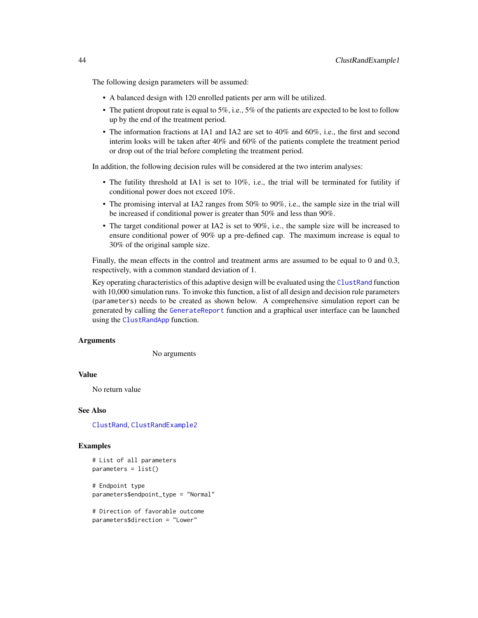The following design parameters will be assumed:

- A balanced design with 120 enrolled patients per arm will be utilized.
- The patient dropout rate is equal to 5%, i.e., 5% of the patients are expected to be lost to follow up by the end of the treatment period.
- The information fractions at IA1 and IA2 are set to 40% and 60%, i.e., the first and second interim looks will be taken after 40% and 60% of the patients complete the treatment period or drop out of the trial before completing the treatment period.

In addition, the following decision rules will be considered at the two interim analyses:

- The futility threshold at IA1 is set to 10%, i.e., the trial will be terminated for futility if conditional power does not exceed 10%.
- The promising interval at IA2 ranges from 50% to 90%, i.e., the sample size in the trial will be increased if conditional power is greater than 50% and less than 90%.
- The target conditional power at IA2 is set to 90%, i.e., the sample size will be increased to ensure conditional power of 90% up a pre-defined cap. The maximum increase is equal to 30% of the original sample size.

Finally, the mean effects in the control and treatment arms are assumed to be equal to 0 and 0.3, respectively, with a common standard deviation of 1.

Key operating characteristics of this adaptive design will be evaluated using the [ClustRand](#page-39-0) function with 10,000 simulation runs. To invoke this function, a list of all design and decision rule parameters (parameters) needs to be created as shown below. A comprehensive simulation report can be generated by calling the [GenerateReport](#page-60-0) function and a graphical user interface can be launched using the [ClustRandApp](#page-42-1) function.

### **Arguments**

No arguments

#### Value

No return value

#### See Also

[ClustRand](#page-39-0), [ClustRandExample2](#page-45-0)

#### Examples

```
# List of all parameters
parameters = list()
```
# Endpoint type parameters\$endpoint\_type = "Normal"

```
# Direction of favorable outcome
parameters$direction = "Lower"
```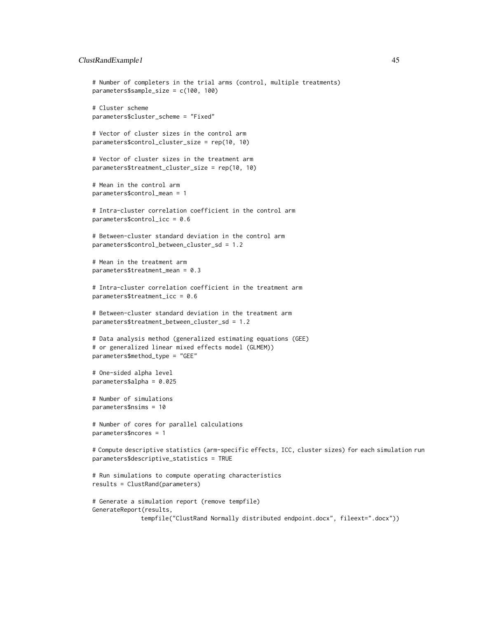## ClustRandExample1 45

```
# Number of completers in the trial arms (control, multiple treatments)
parameters$sample_size = c(100, 100)
# Cluster scheme
parameters$cluster_scheme = "Fixed"
# Vector of cluster sizes in the control arm
parameters$control_cluster_size = rep(10, 10)
# Vector of cluster sizes in the treatment arm
parameters$treatment_cluster_size = rep(10, 10)
# Mean in the control arm
parameters$control_mean = 1
# Intra-cluster correlation coefficient in the control arm
parameters$control_icc = 0.6
# Between-cluster standard deviation in the control arm
parameters$control_between_cluster_sd = 1.2
# Mean in the treatment arm
parameters$treatment_mean = 0.3
# Intra-cluster correlation coefficient in the treatment arm
parameters$treatment_icc = 0.6
# Between-cluster standard deviation in the treatment arm
parameters$treatment_between_cluster_sd = 1.2
# Data analysis method (generalized estimating equations (GEE)
# or generalized linear mixed effects model (GLMEM))
parameters$method_type = "GEE"
# One-sided alpha level
parameters$alpha = 0.025
# Number of simulations
parameters$nsims = 10
# Number of cores for parallel calculations
parameters$ncores = 1
# Compute descriptive statistics (arm-specific effects, ICC, cluster sizes) for each simulation run
parameters$descriptive_statistics = TRUE
# Run simulations to compute operating characteristics
results = ClustRand(parameters)
# Generate a simulation report (remove tempfile)
GenerateReport(results,
```
tempfile("ClustRand Normally distributed endpoint.docx", fileext=".docx"))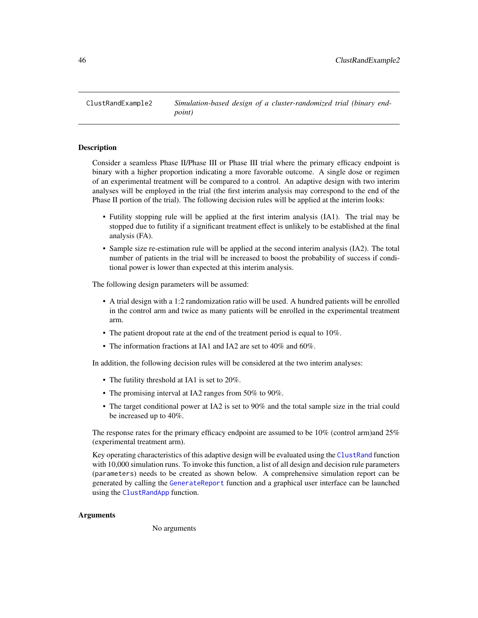<span id="page-45-0"></span>ClustRandExample2 *Simulation-based design of a cluster-randomized trial (binary endpoint)*

### **Description**

Consider a seamless Phase II/Phase III or Phase III trial where the primary efficacy endpoint is binary with a higher proportion indicating a more favorable outcome. A single dose or regimen of an experimental treatment will be compared to a control. An adaptive design with two interim analyses will be employed in the trial (the first interim analysis may correspond to the end of the Phase II portion of the trial). The following decision rules will be applied at the interim looks:

- Futility stopping rule will be applied at the first interim analysis (IA1). The trial may be stopped due to futility if a significant treatment effect is unlikely to be established at the final analysis (FA).
- Sample size re-estimation rule will be applied at the second interim analysis (IA2). The total number of patients in the trial will be increased to boost the probability of success if conditional power is lower than expected at this interim analysis.

The following design parameters will be assumed:

- A trial design with a 1:2 randomization ratio will be used. A hundred patients will be enrolled in the control arm and twice as many patients will be enrolled in the experimental treatment arm.
- The patient dropout rate at the end of the treatment period is equal to 10%.
- The information fractions at IA1 and IA2 are set to 40% and 60%.

In addition, the following decision rules will be considered at the two interim analyses:

- The futility threshold at IA1 is set to 20%.
- The promising interval at IA2 ranges from 50% to 90%.
- The target conditional power at IA2 is set to 90% and the total sample size in the trial could be increased up to 40%.

The response rates for the primary efficacy endpoint are assumed to be 10% (control arm)and 25% (experimental treatment arm).

Key operating characteristics of this adaptive design will be evaluated using the [ClustRand](#page-39-0) function with 10,000 simulation runs. To invoke this function, a list of all design and decision rule parameters (parameters) needs to be created as shown below. A comprehensive simulation report can be generated by calling the [GenerateReport](#page-60-0) function and a graphical user interface can be launched using the [ClustRandApp](#page-42-1) function.

## Arguments

No arguments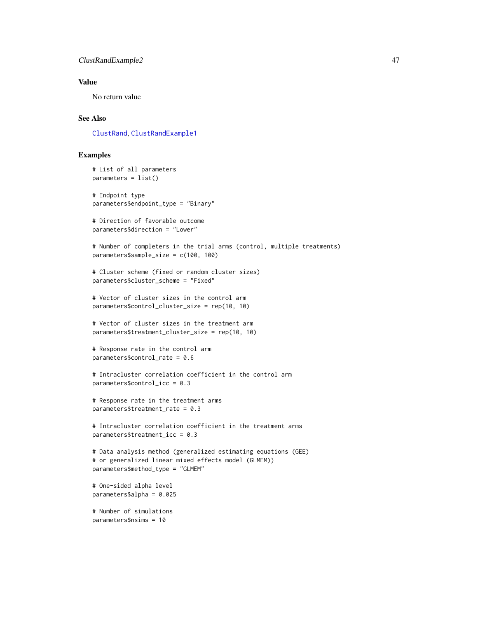### ClustRandExample2 47

## Value

No return value

## See Also

[ClustRand](#page-39-0), [ClustRandExample1](#page-42-0)

# Examples

```
# List of all parameters
parameters = list()
# Endpoint type
parameters$endpoint_type = "Binary"
# Direction of favorable outcome
parameters$direction = "Lower"
# Number of completers in the trial arms (control, multiple treatments)
parameters$sample_size = c(100, 100)
# Cluster scheme (fixed or random cluster sizes)
parameters$cluster_scheme = "Fixed"
# Vector of cluster sizes in the control arm
parameters$control_cluster_size = rep(10, 10)
# Vector of cluster sizes in the treatment arm
parameters$treatment_cluster_size = rep(10, 10)
# Response rate in the control arm
parameters$control_rate = 0.6
# Intracluster correlation coefficient in the control arm
parameters$control_icc = 0.3
# Response rate in the treatment arms
parameters$treatment_rate = 0.3
# Intracluster correlation coefficient in the treatment arms
parameters$treatment_icc = 0.3
# Data analysis method (generalized estimating equations (GEE)
# or generalized linear mixed effects model (GLMEM))
parameters$method_type = "GLMEM"
# One-sided alpha level
parameters$alpha = 0.025
# Number of simulations
parameters$nsims = 10
```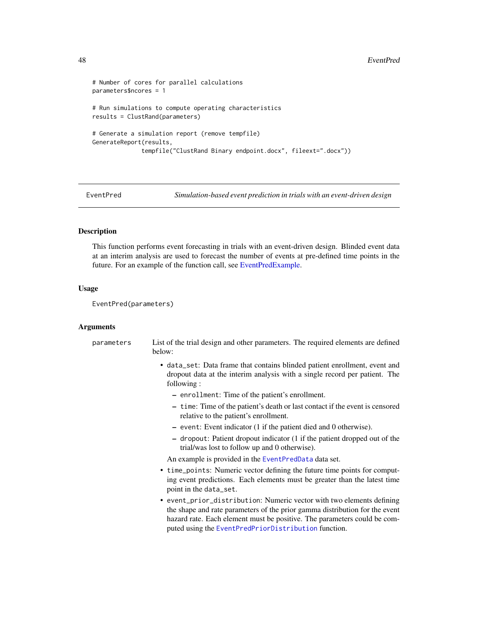```
# Number of cores for parallel calculations
parameters$ncores = 1
# Run simulations to compute operating characteristics
results = ClustRand(parameters)
# Generate a simulation report (remove tempfile)
GenerateReport(results,
              tempfile("ClustRand Binary endpoint.docx", fileext=".docx"))
```
EventPred *Simulation-based event prediction in trials with an event-driven design*

## **Description**

This function performs event forecasting in trials with an event-driven design. Blinded event data at an interim analysis are used to forecast the number of events at pre-defined time points in the future. For an example of the function call, see [EventPredExample.](#page-50-0)

#### Usage

```
EventPred(parameters)
```
#### Arguments

parameters List of the trial design and other parameters. The required elements are defined below:

- data\_set: Data frame that contains blinded patient enrollment, event and dropout data at the interim analysis with a single record per patient. The following :
	- enrollment: Time of the patient's enrollment.
	- time: Time of the patient's death or last contact if the event is censored relative to the patient's enrollment.
	- event: Event indicator (1 if the patient died and 0 otherwise).
	- dropout: Patient dropout indicator (1 if the patient dropped out of the trial/was lost to follow up and 0 otherwise).

An example is provided in the [EventPredData](#page-49-0) data set.

- time\_points: Numeric vector defining the future time points for computing event predictions. Each elements must be greater than the latest time point in the data\_set.
- event\_prior\_distribution: Numeric vector with two elements defining the shape and rate parameters of the prior gamma distribution for the event hazard rate. Each element must be positive. The parameters could be computed using the [EventPredPriorDistribution](#page-51-0) function.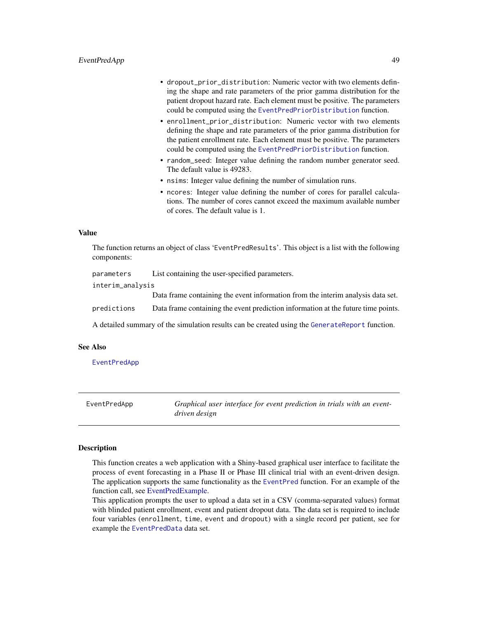- dropout\_prior\_distribution: Numeric vector with two elements defining the shape and rate parameters of the prior gamma distribution for the patient dropout hazard rate. Each element must be positive. The parameters could be computed using the [EventPredPriorDistribution](#page-51-0) function.
- enrollment\_prior\_distribution: Numeric vector with two elements defining the shape and rate parameters of the prior gamma distribution for the patient enrollment rate. Each element must be positive. The parameters could be computed using the [EventPredPriorDistribution](#page-51-0) function.
- random\_seed: Integer value defining the random number generator seed. The default value is 49283.
- nsims: Integer value defining the number of simulation runs.
- ncores: Integer value defining the number of cores for parallel calculations. The number of cores cannot exceed the maximum available number of cores. The default value is 1.

#### Value

The function returns an object of class 'EventPredResults'. This object is a list with the following components:

| parameters       | List containing the user-specified parameters.                                                 |
|------------------|------------------------------------------------------------------------------------------------|
| interim_analysis |                                                                                                |
|                  | Data frame containing the event information from the interim analysis data set.                |
| predictions      | Data frame containing the event prediction information at the future time points.              |
|                  | A detailed summary of the simulation results can be created using the GenerateReport function. |

### See Also

[EventPredApp](#page-48-0)

<span id="page-48-0"></span>EventPredApp *Graphical user interface for event prediction in trials with an eventdriven design*

#### Description

This function creates a web application with a Shiny-based graphical user interface to facilitate the process of event forecasting in a Phase II or Phase III clinical trial with an event-driven design. The application supports the same functionality as the [EventPred](#page-47-0) function. For an example of the function call, see [EventPredExample.](#page-50-0)

This application prompts the user to upload a data set in a CSV (comma-separated values) format with blinded patient enrollment, event and patient dropout data. The data set is required to include four variables (enrollment, time, event and dropout) with a single record per patient, see for example the [EventPredData](#page-49-0) data set.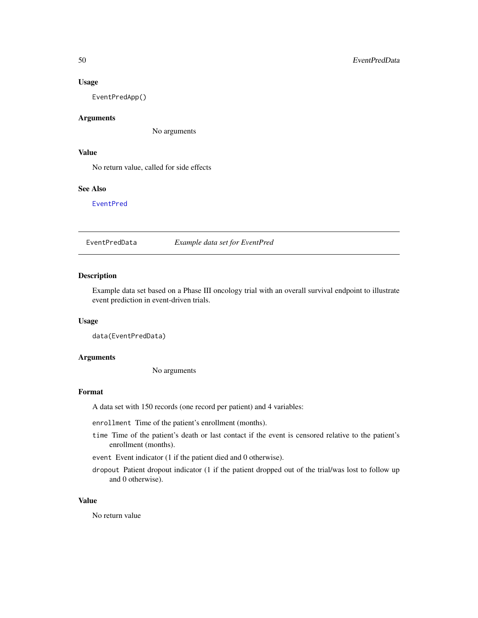#### Usage

EventPredApp()

## Arguments

No arguments

### Value

No return value, called for side effects

# See Also

[EventPred](#page-47-0)

<span id="page-49-0"></span>EventPredData *Example data set for EventPred*

## Description

Example data set based on a Phase III oncology trial with an overall survival endpoint to illustrate event prediction in event-driven trials.

# Usage

data(EventPredData)

## Arguments

No arguments

### Format

A data set with 150 records (one record per patient) and 4 variables:

enrollment Time of the patient's enrollment (months).

- time Time of the patient's death or last contact if the event is censored relative to the patient's enrollment (months).
- event Event indicator (1 if the patient died and 0 otherwise).
- dropout Patient dropout indicator (1 if the patient dropped out of the trial/was lost to follow up and 0 otherwise).

#### Value

No return value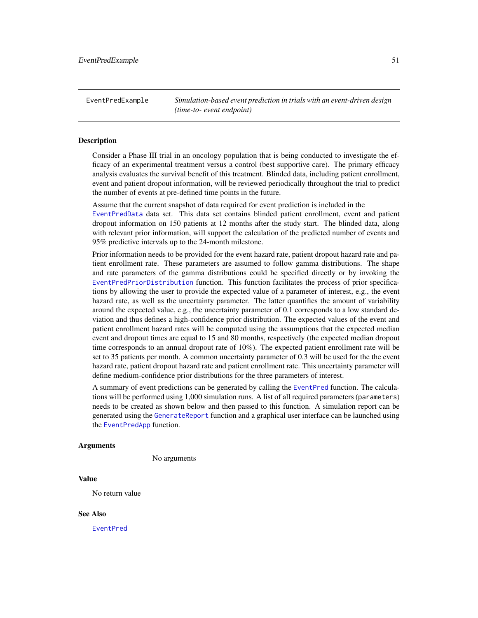<span id="page-50-0"></span>EventPredExample *Simulation-based event prediction in trials with an event-driven design (time-to- event endpoint)*

## Description

Consider a Phase III trial in an oncology population that is being conducted to investigate the efficacy of an experimental treatment versus a control (best supportive care). The primary efficacy analysis evaluates the survival benefit of this treatment. Blinded data, including patient enrollment, event and patient dropout information, will be reviewed periodically throughout the trial to predict the number of events at pre-defined time points in the future.

Assume that the current snapshot of data required for event prediction is included in the [EventPredData](#page-49-0) data set. This data set contains blinded patient enrollment, event and patient dropout information on 150 patients at 12 months after the study start. The blinded data, along with relevant prior information, will support the calculation of the predicted number of events and 95% predictive intervals up to the 24-month milestone.

Prior information needs to be provided for the event hazard rate, patient dropout hazard rate and patient enrollment rate. These parameters are assumed to follow gamma distributions. The shape and rate parameters of the gamma distributions could be specified directly or by invoking the [EventPredPriorDistribution](#page-51-0) function. This function facilitates the process of prior specifications by allowing the user to provide the expected value of a parameter of interest, e.g., the event hazard rate, as well as the uncertainty parameter. The latter quantifies the amount of variability around the expected value, e.g., the uncertainty parameter of 0.1 corresponds to a low standard deviation and thus defines a high-confidence prior distribution. The expected values of the event and patient enrollment hazard rates will be computed using the assumptions that the expected median event and dropout times are equal to 15 and 80 months, respectively (the expected median dropout time corresponds to an annual dropout rate of 10%). The expected patient enrollment rate will be set to 35 patients per month. A common uncertainty parameter of 0.3 will be used for the the event hazard rate, patient dropout hazard rate and patient enrollment rate. This uncertainty parameter will define medium-confidence prior distributions for the three parameters of interest.

A summary of event predictions can be generated by calling the [EventPred](#page-47-0) function. The calculations will be performed using 1,000 simulation runs. A list of all required parameters (parameters) needs to be created as shown below and then passed to this function. A simulation report can be generated using the [GenerateReport](#page-60-0) function and a graphical user interface can be launched using the [EventPredApp](#page-48-0) function.

## Arguments

No arguments

#### Value

No return value

#### See Also

[EventPred](#page-47-0)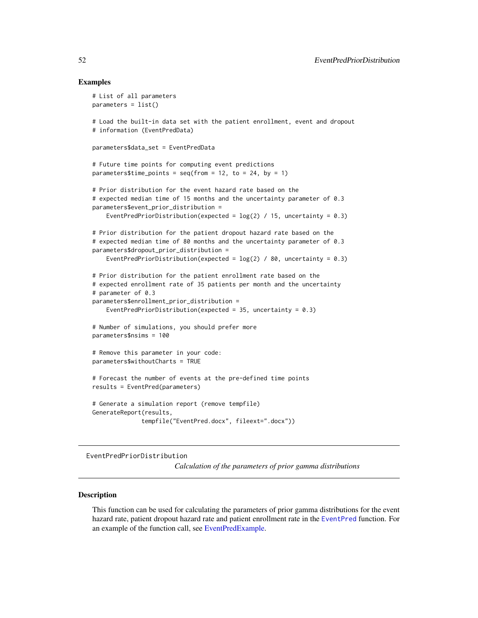### Examples

```
# List of all parameters
parameters = list()
# Load the built-in data set with the patient enrollment, event and dropout
# information (EventPredData)
parameters$data_set = EventPredData
# Future time points for computing event predictions
parameters$time_points = seq(from = 12, to = 24, by = 1)# Prior distribution for the event hazard rate based on the
# expected median time of 15 months and the uncertainty parameter of 0.3
parameters$event_prior_distribution =
   EventPredPriorDistribution(expected = log(2) / 15, uncertainty = 0.3)
# Prior distribution for the patient dropout hazard rate based on the
# expected median time of 80 months and the uncertainty parameter of 0.3
parameters$dropout_prior_distribution =
    EventPredPriorDistribution(expected = log(2) / 80, uncertainty = 0.3)
# Prior distribution for the patient enrollment rate based on the
# expected enrollment rate of 35 patients per month and the uncertainty
# parameter of 0.3
parameters$enrollment_prior_distribution =
    EventPredPriorDistribution(expected = 35, uncertainty = 0.3)
# Number of simulations, you should prefer more
parameters$nsims = 100
# Remove this parameter in your code:
parameters$withoutCharts = TRUE
# Forecast the number of events at the pre-defined time points
results = EventPred(parameters)
# Generate a simulation report (remove tempfile)
GenerateReport(results,
              tempfile("EventPred.docx", fileext=".docx"))
```
<span id="page-51-0"></span>EventPredPriorDistribution

*Calculation of the parameters of prior gamma distributions*

### Description

This function can be used for calculating the parameters of prior gamma distributions for the event hazard rate, patient dropout hazard rate and patient enrollment rate in the [EventPred](#page-47-0) function. For an example of the function call, see [EventPredExample.](#page-50-0)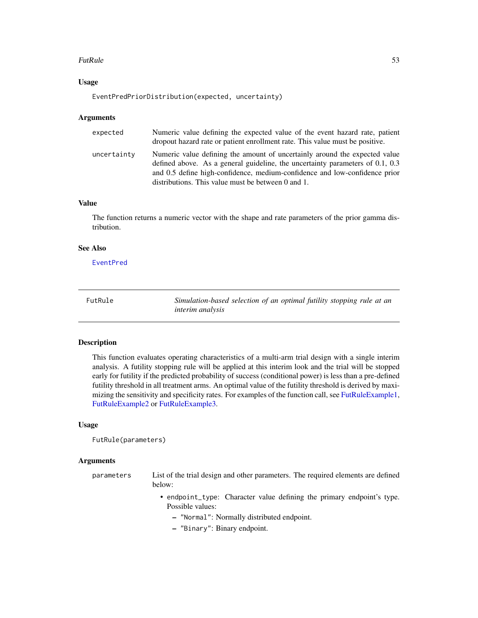#### FutRule 53

## Usage

EventPredPriorDistribution(expected, uncertainty)

#### **Arguments**

| expected    | Numeric value defining the expected value of the event hazard rate, patient<br>dropout hazard rate or patient enrollment rate. This value must be positive.                                                                                                                                          |
|-------------|------------------------------------------------------------------------------------------------------------------------------------------------------------------------------------------------------------------------------------------------------------------------------------------------------|
| uncertainty | Numeric value defining the amount of uncertainly around the expected value<br>defined above. As a general guideline, the uncertainty parameters of $0.1$ , $0.3$<br>and 0.5 define high-confidence, medium-confidence and low-confidence prior<br>distributions. This value must be between 0 and 1. |

# Value

The function returns a numeric vector with the shape and rate parameters of the prior gamma distribution.

## See Also

[EventPred](#page-47-0)

<span id="page-52-0"></span>FutRule *Simulation-based selection of an optimal futility stopping rule at an interim analysis*

### Description

This function evaluates operating characteristics of a multi-arm trial design with a single interim analysis. A futility stopping rule will be applied at this interim look and the trial will be stopped early for futility if the predicted probability of success (conditional power) is less than a pre-defined futility threshold in all treatment arms. An optimal value of the futility threshold is derived by maximizing the sensitivity and specificity rates. For examples of the function call, see [FutRuleExample1,](#page-55-0) [FutRuleExample2](#page-57-0) or [FutRuleExample3.](#page-58-0)

### Usage

FutRule(parameters)

#### **Arguments**

| parameters | List of the trial design and other parameters. The required elements are defined<br>helow: |
|------------|--------------------------------------------------------------------------------------------|
|            | • endpoint_type: Character value defining the primary endpoint's type.<br>Possible values: |

- "Normal": Normally distributed endpoint.
- "Binary": Binary endpoint.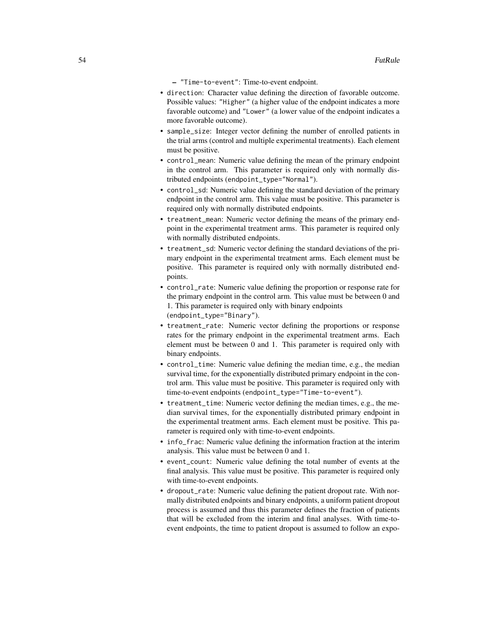- "Time-to-event": Time-to-event endpoint.
- direction: Character value defining the direction of favorable outcome. Possible values: "Higher" (a higher value of the endpoint indicates a more favorable outcome) and "Lower" (a lower value of the endpoint indicates a more favorable outcome).
- sample\_size: Integer vector defining the number of enrolled patients in the trial arms (control and multiple experimental treatments). Each element must be positive.
- control\_mean: Numeric value defining the mean of the primary endpoint in the control arm. This parameter is required only with normally distributed endpoints (endpoint\_type="Normal").
- control\_sd: Numeric value defining the standard deviation of the primary endpoint in the control arm. This value must be positive. This parameter is required only with normally distributed endpoints.
- treatment\_mean: Numeric vector defining the means of the primary endpoint in the experimental treatment arms. This parameter is required only with normally distributed endpoints.
- treatment\_sd: Numeric vector defining the standard deviations of the primary endpoint in the experimental treatment arms. Each element must be positive. This parameter is required only with normally distributed endpoints.
- control\_rate: Numeric value defining the proportion or response rate for the primary endpoint in the control arm. This value must be between 0 and 1. This parameter is required only with binary endpoints (endpoint\_type="Binary").
- treatment\_rate: Numeric vector defining the proportions or response rates for the primary endpoint in the experimental treatment arms. Each element must be between 0 and 1. This parameter is required only with binary endpoints.
- control\_time: Numeric value defining the median time, e.g., the median survival time, for the exponentially distributed primary endpoint in the control arm. This value must be positive. This parameter is required only with time-to-event endpoints (endpoint\_type="Time-to-event").
- treatment\_time: Numeric vector defining the median times, e.g., the median survival times, for the exponentially distributed primary endpoint in the experimental treatment arms. Each element must be positive. This parameter is required only with time-to-event endpoints.
- info\_frac: Numeric value defining the information fraction at the interim analysis. This value must be between 0 and 1.
- event\_count: Numeric value defining the total number of events at the final analysis. This value must be positive. This parameter is required only with time-to-event endpoints.
- dropout\_rate: Numeric value defining the patient dropout rate. With normally distributed endpoints and binary endpoints, a uniform patient dropout process is assumed and thus this parameter defines the fraction of patients that will be excluded from the interim and final analyses. With time-toevent endpoints, the time to patient dropout is assumed to follow an expo-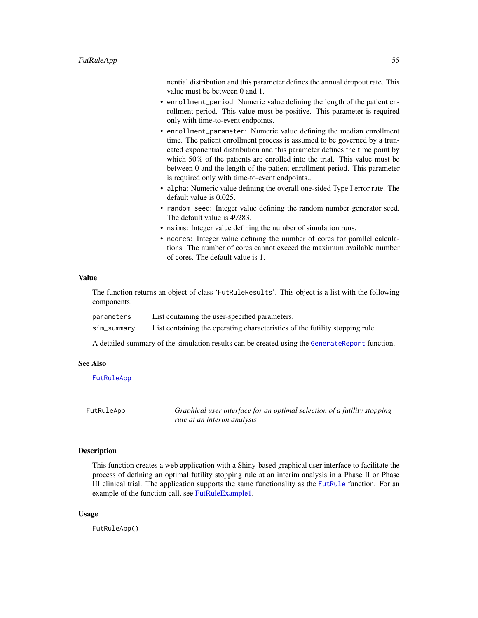nential distribution and this parameter defines the annual dropout rate. This value must be between 0 and 1.

- enrollment\_period: Numeric value defining the length of the patient enrollment period. This value must be positive. This parameter is required only with time-to-event endpoints.
- enrollment\_parameter: Numeric value defining the median enrollment time. The patient enrollment process is assumed to be governed by a truncated exponential distribution and this parameter defines the time point by which 50% of the patients are enrolled into the trial. This value must be between 0 and the length of the patient enrollment period. This parameter is required only with time-to-event endpoints..
- alpha: Numeric value defining the overall one-sided Type I error rate. The default value is 0.025.
- random\_seed: Integer value defining the random number generator seed. The default value is 49283.
- nsims: Integer value defining the number of simulation runs.
- ncores: Integer value defining the number of cores for parallel calculations. The number of cores cannot exceed the maximum available number of cores. The default value is 1.

#### Value

The function returns an object of class 'FutRuleResults'. This object is a list with the following components:

parameters List containing the user-specified parameters.

sim\_summary List containing the operating characteristics of the futility stopping rule.

A detailed summary of the simulation results can be created using the [GenerateReport](#page-60-0) function.

### See Also

[FutRuleApp](#page-54-0)

<span id="page-54-0"></span>

| FutRuleApp | Graphical user interface for an optimal selection of a futility stopping |
|------------|--------------------------------------------------------------------------|
|            | rule at an interim analysis                                              |

# Description

This function creates a web application with a Shiny-based graphical user interface to facilitate the process of defining an optimal futility stopping rule at an interim analysis in a Phase II or Phase III clinical trial. The application supports the same functionality as the [FutRule](#page-52-0) function. For an example of the function call, see [FutRuleExample1.](#page-55-0)

### Usage

FutRuleApp()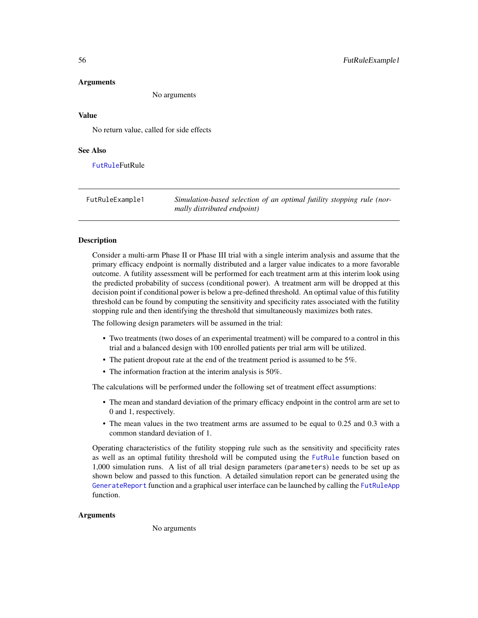#### Arguments

No arguments

## Value

No return value, called for side effects

## See Also

**[FutRule](#page-52-0)FutRule** 

<span id="page-55-0"></span>FutRuleExample1 *Simulation-based selection of an optimal futility stopping rule (normally distributed endpoint)*

### Description

Consider a multi-arm Phase II or Phase III trial with a single interim analysis and assume that the primary efficacy endpoint is normally distributed and a larger value indicates to a more favorable outcome. A futility assessment will be performed for each treatment arm at this interim look using the predicted probability of success (conditional power). A treatment arm will be dropped at this decision point if conditional power is below a pre-defined threshold. An optimal value of this futility threshold can be found by computing the sensitivity and specificity rates associated with the futility stopping rule and then identifying the threshold that simultaneously maximizes both rates.

The following design parameters will be assumed in the trial:

- Two treatments (two doses of an experimental treatment) will be compared to a control in this trial and a balanced design with 100 enrolled patients per trial arm will be utilized.
- The patient dropout rate at the end of the treatment period is assumed to be 5%.
- The information fraction at the interim analysis is 50%.

The calculations will be performed under the following set of treatment effect assumptions:

- The mean and standard deviation of the primary efficacy endpoint in the control arm are set to 0 and 1, respectively.
- The mean values in the two treatment arms are assumed to be equal to 0.25 and 0.3 with a common standard deviation of 1.

Operating characteristics of the futility stopping rule such as the sensitivity and specificity rates as well as an optimal futility threshold will be computed using the [FutRule](#page-52-0) function based on 1,000 simulation runs. A list of all trial design parameters (parameters) needs to be set up as shown below and passed to this function. A detailed simulation report can be generated using the [GenerateReport](#page-60-0) function and a graphical user interface can be launched by calling the [FutRuleApp](#page-54-0) function.

### Arguments

No arguments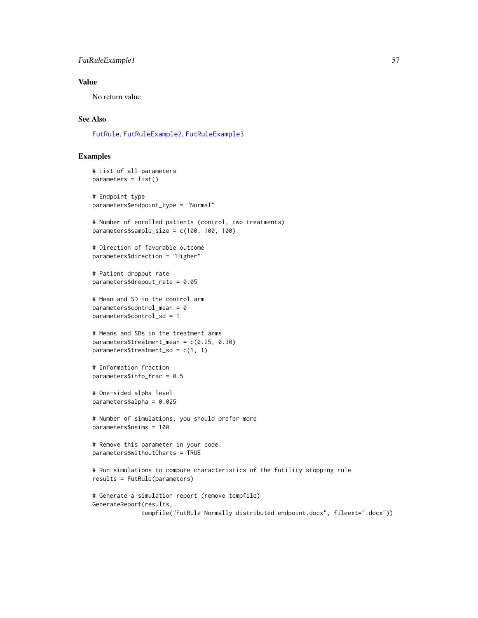## FutRuleExample1 57

## Value

No return value

## See Also

[FutRule](#page-52-0), [FutRuleExample2](#page-57-0), [FutRuleExample3](#page-58-0)

### Examples

```
# List of all parameters
parameters = list()
# Endpoint type
parameters$endpoint_type = "Normal"
# Number of enrolled patients (control, two treatments)
parameters$sample_size = c(100, 100, 100)
# Direction of favorable outcome
parameters$direction = "Higher"
# Patient dropout rate
parameters$dropout_rate = 0.05
# Mean and SD in the control arm
parameters$control_mean = 0
parameters$control_sd = 1
# Means and SDs in the treatment arms
parameters$treatment_mean = c(0.25, 0.30)
parameters$treatment_sd = c(1, 1)
# Information fraction
parameters$info_frac = 0.5
# One-sided alpha level
parameters$alpha = 0.025
# Number of simulations, you should prefer more
parameters$nsims = 100
# Remove this parameter in your code:
parameters$withoutCharts = TRUE
# Run simulations to compute characteristics of the futility stopping rule
results = FutRule(parameters)
# Generate a simulation report (remove tempfile)
GenerateReport(results,
              tempfile("FutRule Normally distributed endpoint.docx", fileext=".docx"))
```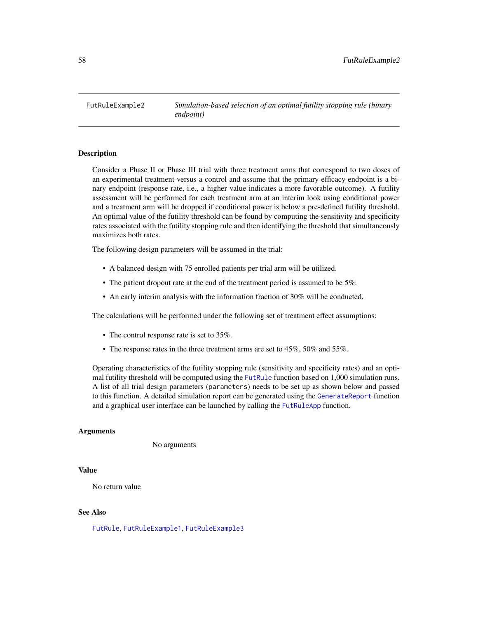<span id="page-57-0"></span>FutRuleExample2 *Simulation-based selection of an optimal futility stopping rule (binary endpoint)*

## Description

Consider a Phase II or Phase III trial with three treatment arms that correspond to two doses of an experimental treatment versus a control and assume that the primary efficacy endpoint is a binary endpoint (response rate, i.e., a higher value indicates a more favorable outcome). A futility assessment will be performed for each treatment arm at an interim look using conditional power and a treatment arm will be dropped if conditional power is below a pre-defined futility threshold. An optimal value of the futility threshold can be found by computing the sensitivity and specificity rates associated with the futility stopping rule and then identifying the threshold that simultaneously maximizes both rates.

The following design parameters will be assumed in the trial:

- A balanced design with 75 enrolled patients per trial arm will be utilized.
- The patient dropout rate at the end of the treatment period is assumed to be 5%.
- An early interim analysis with the information fraction of 30% will be conducted.

The calculations will be performed under the following set of treatment effect assumptions:

- The control response rate is set to 35%.
- The response rates in the three treatment arms are set to 45%, 50% and 55%.

Operating characteristics of the futility stopping rule (sensitivity and specificity rates) and an optimal futility threshold will be computed using the [FutRule](#page-52-0) function based on 1,000 simulation runs. A list of all trial design parameters (parameters) needs to be set up as shown below and passed to this function. A detailed simulation report can be generated using the [GenerateReport](#page-60-0) function and a graphical user interface can be launched by calling the [FutRuleApp](#page-54-0) function.

### Arguments

No arguments

#### Value

No return value

### See Also

[FutRule](#page-52-0), [FutRuleExample1](#page-55-0), [FutRuleExample3](#page-58-0)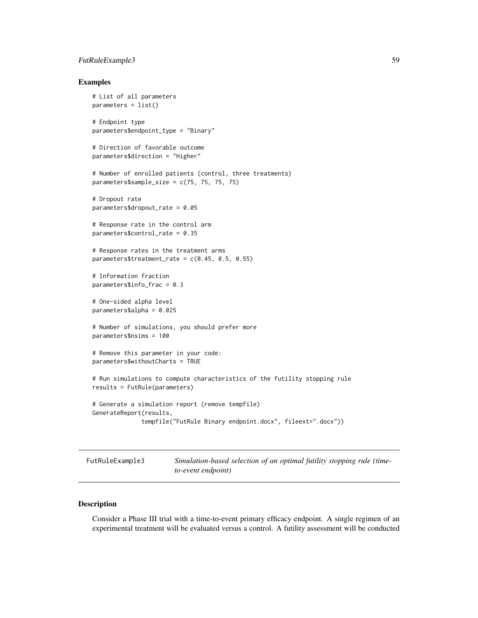## FutRuleExample3 59

### Examples

```
# List of all parameters
parameters = list()
# Endpoint type
parameters$endpoint_type = "Binary"
# Direction of favorable outcome
parameters$direction = "Higher"
# Number of enrolled patients (control, three treatments)
parameters$sample_size = c(75, 75, 75, 75)
# Dropout rate
parameters$dropout_rate = 0.05
# Response rate in the control arm
parameters$control_rate = 0.35
# Response rates in the treatment arms
parameters$treatment_rate = c(0.45, 0.5, 0.55)
# Information fraction
parameters$info_frac = 0.3
# One-sided alpha level
parameters$alpha = 0.025
# Number of simulations, you should prefer more
parameters$nsims = 100
# Remove this parameter in your code:
parameters$withoutCharts = TRUE
# Run simulations to compute characteristics of the futility stopping rule
results = FutRule(parameters)
# Generate a simulation report (remove tempfile)
GenerateReport(results,
              tempfile("FutRule Binary endpoint.docx", fileext=".docx"))
```
<span id="page-58-0"></span>FutRuleExample3 *Simulation-based selection of an optimal futility stopping rule (timeto-event endpoint)*

### Description

Consider a Phase III trial with a time-to-event primary efficacy endpoint. A single regimen of an experimental treatment will be evaluated versus a control. A futility assessment will be conducted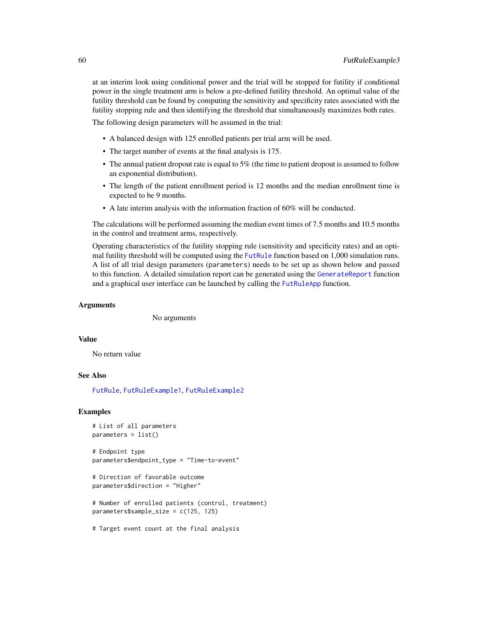at an interim look using conditional power and the trial will be stopped for futility if conditional power in the single treatment arm is below a pre-defined futility threshold. An optimal value of the futility threshold can be found by computing the sensitivity and specificity rates associated with the futility stopping rule and then identifying the threshold that simultaneously maximizes both rates.

The following design parameters will be assumed in the trial:

- A balanced design with 125 enrolled patients per trial arm will be used.
- The target number of events at the final analysis is 175.
- The annual patient dropout rate is equal to 5% (the time to patient dropout is assumed to follow an exponential distribution).
- The length of the patient enrollment period is 12 months and the median enrollment time is expected to be 9 months.
- A late interim analysis with the information fraction of 60% will be conducted.

The calculations will be performed assuming the median event times of 7.5 months and 10.5 months in the control and treatment arms, respectively.

Operating characteristics of the futility stopping rule (sensitivity and specificity rates) and an optimal futility threshold will be computed using the [FutRule](#page-52-0) function based on 1,000 simulation runs. A list of all trial design parameters (parameters) needs to be set up as shown below and passed to this function. A detailed simulation report can be generated using the [GenerateReport](#page-60-0) function and a graphical user interface can be launched by calling the [FutRuleApp](#page-54-0) function.

### Arguments

No arguments

#### Value

No return value

### See Also

[FutRule](#page-52-0), [FutRuleExample1](#page-55-0), [FutRuleExample2](#page-57-0)

### Examples

```
# List of all parameters
parameters = list()
# Endpoint type
parameters$endpoint_type = "Time-to-event"
# Direction of favorable outcome
parameters$direction = "Higher"
# Number of enrolled patients (control, treatment)
parameters$sample_size = c(125, 125)
# Target event count at the final analysis
```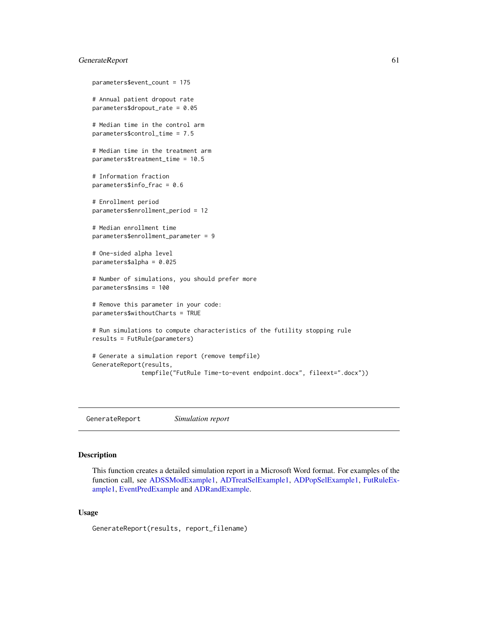## GenerateReport 61

```
parameters$event_count = 175
# Annual patient dropout rate
parameters$dropout_rate = 0.05
# Median time in the control arm
parameters$control_time = 7.5
# Median time in the treatment arm
parameters$treatment_time = 10.5
# Information fraction
parameters$info_frac = 0.6
# Enrollment period
parameters$enrollment_period = 12
# Median enrollment time
parameters$enrollment_parameter = 9
# One-sided alpha level
parameters$alpha = 0.025
# Number of simulations, you should prefer more
parameters$nsims = 100
# Remove this parameter in your code:
parameters$withoutCharts = TRUE
# Run simulations to compute characteristics of the futility stopping rule
results = FutRule(parameters)
# Generate a simulation report (remove tempfile)
GenerateReport(results,
              tempfile("FutRule Time-to-event endpoint.docx", fileext=".docx"))
```
<span id="page-60-0"></span>GenerateReport *Simulation report*

### Description

This function creates a detailed simulation report in a Microsoft Word format. For examples of the function call, see [ADSSModExample1,](#page-24-0) [ADTreatSelExample1,](#page-33-1) [ADPopSelExample1,](#page-8-0) [FutRuleEx](#page-55-0)[ample1,](#page-55-0) [EventPredExample](#page-50-0) and [ADRandExample.](#page-18-0)

## Usage

GenerateReport(results, report\_filename)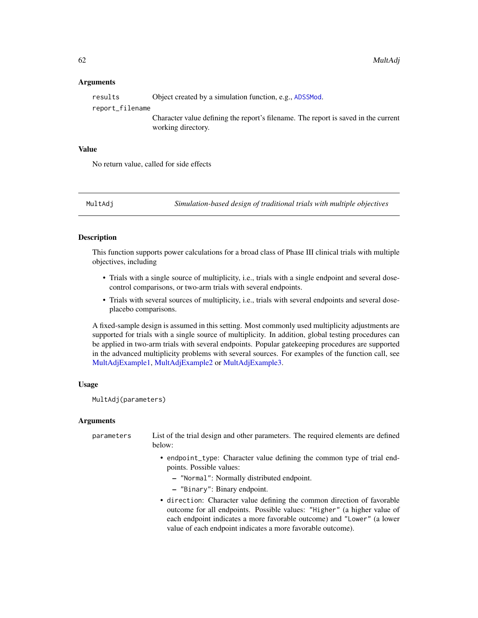### Arguments

| results         | Object created by a simulation function, e.g., ADSSMod.                                                  |
|-----------------|----------------------------------------------------------------------------------------------------------|
| report_filename |                                                                                                          |
|                 | Character value defining the report's filename. The report is saved in the current<br>working directory. |

# Value

No return value, called for side effects

<span id="page-61-0"></span>MultAdj *Simulation-based design of traditional trials with multiple objectives*

## Description

This function supports power calculations for a broad class of Phase III clinical trials with multiple objectives, including

- Trials with a single source of multiplicity, i.e., trials with a single endpoint and several dosecontrol comparisons, or two-arm trials with several endpoints.
- Trials with several sources of multiplicity, i.e., trials with several endpoints and several doseplacebo comparisons.

A fixed-sample design is assumed in this setting. Most commonly used multiplicity adjustments are supported for trials with a single source of multiplicity. In addition, global testing procedures can be applied in two-arm trials with several endpoints. Popular gatekeeping procedures are supported in the advanced multiplicity problems with several sources. For examples of the function call, see [MultAdjExample1,](#page-65-0) [MultAdjExample2](#page-66-0) or [MultAdjExample3.](#page-68-0)

#### Usage

MultAdj(parameters)

## Arguments

| parameters | List of the trial design and other parameters. The required elements are defined<br>below:                                                                                                                                   |
|------------|------------------------------------------------------------------------------------------------------------------------------------------------------------------------------------------------------------------------------|
|            | • endpoint_type: Character value defining the common type of trial end-<br>points. Possible values:                                                                                                                          |
|            | - "Normal": Normally distributed endpoint.                                                                                                                                                                                   |
|            | - "Binary": Binary endpoint.                                                                                                                                                                                                 |
|            | • direction: Character value defining the common direction of favorable<br>outcome for all endpoints. Possible values: "Higher" (a higher value of<br>each endpoint indicates a more favorable outcome) and "Lower" (a lower |
|            | value of each endpoint indicates a more favorable outcome).                                                                                                                                                                  |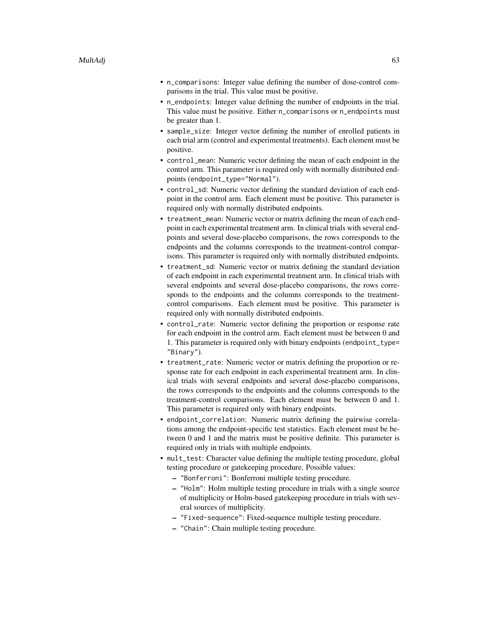- n\_comparisons: Integer value defining the number of dose-control comparisons in the trial. This value must be positive.
- n\_endpoints: Integer value defining the number of endpoints in the trial. This value must be positive. Either n\_comparisons or n\_endpoints must be greater than 1.
- sample\_size: Integer vector defining the number of enrolled patients in each trial arm (control and experimental treatments). Each element must be positive.
- control\_mean: Numeric vector defining the mean of each endpoint in the control arm. This parameter is required only with normally distributed endpoints (endpoint\_type="Normal").
- control\_sd: Numeric vector defining the standard deviation of each endpoint in the control arm. Each element must be positive. This parameter is required only with normally distributed endpoints.
- treatment\_mean: Numeric vector or matrix defining the mean of each endpoint in each experimental treatment arm. In clinical trials with several endpoints and several dose-placebo comparisons, the rows corresponds to the endpoints and the columns corresponds to the treatment-control comparisons. This parameter is required only with normally distributed endpoints.
- treatment\_sd: Numeric vector or matrix defining the standard deviation of each endpoint in each experimental treatment arm. In clinical trials with several endpoints and several dose-placebo comparisons, the rows corresponds to the endpoints and the columns corresponds to the treatmentcontrol comparisons. Each element must be positive. This parameter is required only with normally distributed endpoints.
- control\_rate: Numeric vector defining the proportion or response rate for each endpoint in the control arm. Each element must be between 0 and 1. This parameter is required only with binary endpoints (endpoint\_type= "Binary").
- treatment\_rate: Numeric vector or matrix defining the proportion or response rate for each endpoint in each experimental treatment arm. In clinical trials with several endpoints and several dose-placebo comparisons, the rows corresponds to the endpoints and the columns corresponds to the treatment-control comparisons. Each element must be between 0 and 1. This parameter is required only with binary endpoints.
- endpoint\_correlation: Numeric matrix defining the pairwise correlations among the endpoint-specific test statistics. Each element must be between 0 and 1 and the matrix must be positive definite. This parameter is required only in trials with multiple endpoints.
- mult\_test: Character value defining the multiple testing procedure, global testing procedure or gatekeeping procedure. Possible values:
	- "Bonferroni": Bonferroni multiple testing procedure.
	- "Holm": Holm multiple testing procedure in trials with a single source of multiplicity or Holm-based gatekeeping procedure in trials with several sources of multiplicity.
	- "Fixed-sequence": Fixed-sequence multiple testing procedure.
	- "Chain": Chain multiple testing procedure.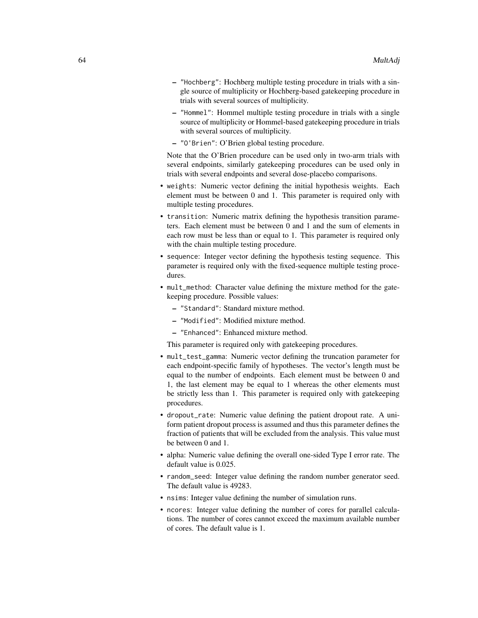- "Hochberg": Hochberg multiple testing procedure in trials with a single source of multiplicity or Hochberg-based gatekeeping procedure in trials with several sources of multiplicity.
- "Hommel": Hommel multiple testing procedure in trials with a single source of multiplicity or Hommel-based gatekeeping procedure in trials with several sources of multiplicity.
- "O'Brien": O'Brien global testing procedure.

Note that the O'Brien procedure can be used only in two-arm trials with several endpoints, similarly gatekeeping procedures can be used only in trials with several endpoints and several dose-placebo comparisons.

- weights: Numeric vector defining the initial hypothesis weights. Each element must be between 0 and 1. This parameter is required only with multiple testing procedures.
- transition: Numeric matrix defining the hypothesis transition parameters. Each element must be between 0 and 1 and the sum of elements in each row must be less than or equal to 1. This parameter is required only with the chain multiple testing procedure.
- sequence: Integer vector defining the hypothesis testing sequence. This parameter is required only with the fixed-sequence multiple testing procedures.
- mult\_method: Character value defining the mixture method for the gatekeeping procedure. Possible values:
	- "Standard": Standard mixture method.
	- "Modified": Modified mixture method.
	- "Enhanced": Enhanced mixture method.

This parameter is required only with gatekeeping procedures.

- mult\_test\_gamma: Numeric vector defining the truncation parameter for each endpoint-specific family of hypotheses. The vector's length must be equal to the number of endpoints. Each element must be between 0 and 1, the last element may be equal to 1 whereas the other elements must be strictly less than 1. This parameter is required only with gatekeeping procedures.
- dropout\_rate: Numeric value defining the patient dropout rate. A uniform patient dropout process is assumed and thus this parameter defines the fraction of patients that will be excluded from the analysis. This value must be between 0 and 1.
- alpha: Numeric value defining the overall one-sided Type I error rate. The default value is 0.025.
- random\_seed: Integer value defining the random number generator seed. The default value is 49283.
- nsims: Integer value defining the number of simulation runs.
- ncores: Integer value defining the number of cores for parallel calculations. The number of cores cannot exceed the maximum available number of cores. The default value is 1.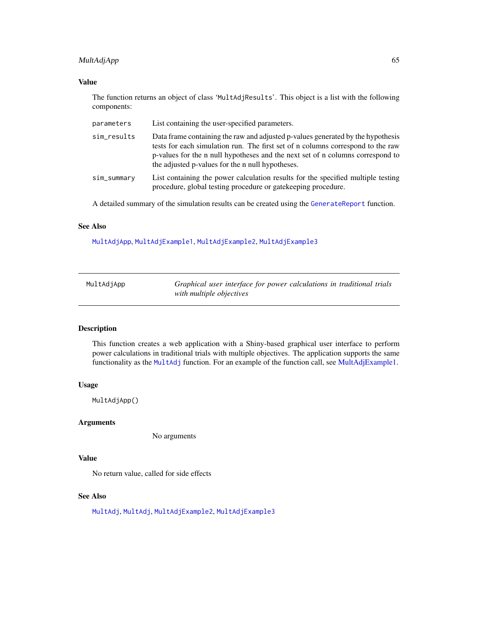# MultAdjApp 65

# Value

The function returns an object of class 'MultAdjResults'. This object is a list with the following components:

| parameters  | List containing the user-specified parameters.                                                                                                                                                                                                                                                           |
|-------------|----------------------------------------------------------------------------------------------------------------------------------------------------------------------------------------------------------------------------------------------------------------------------------------------------------|
| sim_results | Data frame containing the raw and adjusted p-values generated by the hypothesis<br>tests for each simulation run. The first set of n columns correspond to the raw<br>p-values for the n null hypotheses and the next set of n columns correspond to<br>the adjusted p-values for the n null hypotheses. |
| sim_summary | List containing the power calculation results for the specified multiple testing<br>procedure, global testing procedure or gatekeeping procedure.                                                                                                                                                        |

A detailed summary of the simulation results can be created using the [GenerateReport](#page-60-0) function.

### See Also

[MultAdjApp](#page-64-0), [MultAdjExample1](#page-65-0), [MultAdjExample2](#page-66-0), [MultAdjExample3](#page-68-0)

<span id="page-64-0"></span>

| MultAdjApp | Graphical user interface for power calculations in traditional trials |
|------------|-----------------------------------------------------------------------|
|            | with multiple objectives                                              |

### Description

This function creates a web application with a Shiny-based graphical user interface to perform power calculations in traditional trials with multiple objectives. The application supports the same functionality as the [MultAdj](#page-61-0) function. For an example of the function call, see [MultAdjExample1.](#page-65-0)

#### Usage

MultAdjApp()

### Arguments

No arguments

# Value

No return value, called for side effects

## See Also

[MultAdj](#page-61-0), [MultAdj](#page-61-0), [MultAdjExample2](#page-66-0), [MultAdjExample3](#page-68-0)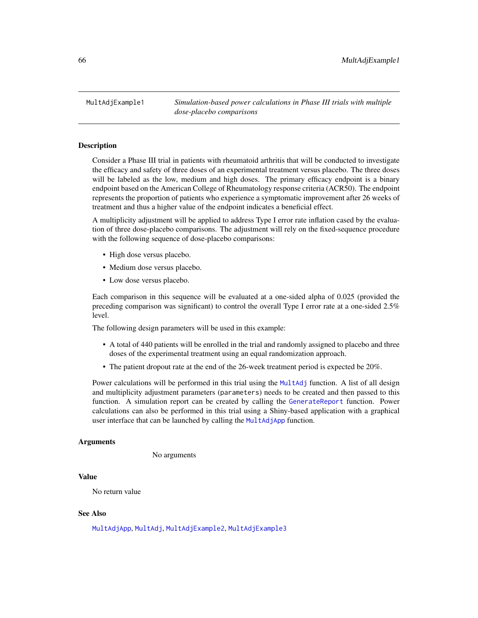<span id="page-65-0"></span>MultAdjExample1 *Simulation-based power calculations in Phase III trials with multiple dose-placebo comparisons*

### Description

Consider a Phase III trial in patients with rheumatoid arthritis that will be conducted to investigate the efficacy and safety of three doses of an experimental treatment versus placebo. The three doses will be labeled as the low, medium and high doses. The primary efficacy endpoint is a binary endpoint based on the American College of Rheumatology response criteria (ACR50). The endpoint represents the proportion of patients who experience a symptomatic improvement after 26 weeks of treatment and thus a higher value of the endpoint indicates a beneficial effect.

A multiplicity adjustment will be applied to address Type I error rate inflation cased by the evaluation of three dose-placebo comparisons. The adjustment will rely on the fixed-sequence procedure with the following sequence of dose-placebo comparisons:

- High dose versus placebo.
- Medium dose versus placebo.
- Low dose versus placebo.

Each comparison in this sequence will be evaluated at a one-sided alpha of 0.025 (provided the preceding comparison was significant) to control the overall Type I error rate at a one-sided 2.5% level.

The following design parameters will be used in this example:

- A total of 440 patients will be enrolled in the trial and randomly assigned to placebo and three doses of the experimental treatment using an equal randomization approach.
- The patient dropout rate at the end of the 26-week treatment period is expected be 20%.

Power calculations will be performed in this trial using the [MultAdj](#page-61-0) function. A list of all design and multiplicity adjustment parameters (parameters) needs to be created and then passed to this function. A simulation report can be created by calling the [GenerateReport](#page-60-0) function. Power calculations can also be performed in this trial using a Shiny-based application with a graphical user interface that can be launched by calling the [MultAdjApp](#page-64-0) function.

#### Arguments

No arguments

# Value

No return value

### See Also

[MultAdjApp](#page-64-0), [MultAdj](#page-61-0), [MultAdjExample2](#page-66-0), [MultAdjExample3](#page-68-0)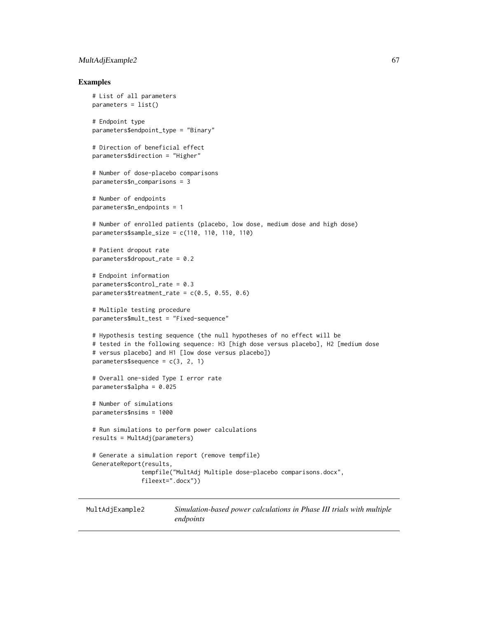## MultAdjExample2 67

### Examples

```
# List of all parameters
parameters = list()
# Endpoint type
parameters$endpoint_type = "Binary"
# Direction of beneficial effect
parameters$direction = "Higher"
# Number of dose-placebo comparisons
parameters$n_comparisons = 3
# Number of endpoints
parameters$n_endpoints = 1
# Number of enrolled patients (placebo, low dose, medium dose and high dose)
parameters$sample_size = c(110, 110, 110, 110)
# Patient dropout rate
parameters$dropout_rate = 0.2
# Endpoint information
parameters$control_rate = 0.3
parameters$treatment_rate = c(0.5, 0.55, 0.6)# Multiple testing procedure
parameters$mult_test = "Fixed-sequence"
# Hypothesis testing sequence (the null hypotheses of no effect will be
# tested in the following sequence: H3 [high dose versus placebo], H2 [medium dose
# versus placebo] and H1 [low dose versus placebo])
parameters$sequence = c(3, 2, 1)# Overall one-sided Type I error rate
parameters$alpha = 0.025
# Number of simulations
parameters$nsims = 1000
# Run simulations to perform power calculations
results = MultAdj(parameters)
# Generate a simulation report (remove tempfile)
GenerateReport(results,
              tempfile("MultAdj Multiple dose-placebo comparisons.docx",
              fileext=".docx"))
```
<span id="page-66-0"></span>MultAdjExample2 *Simulation-based power calculations in Phase III trials with multiple endpoints*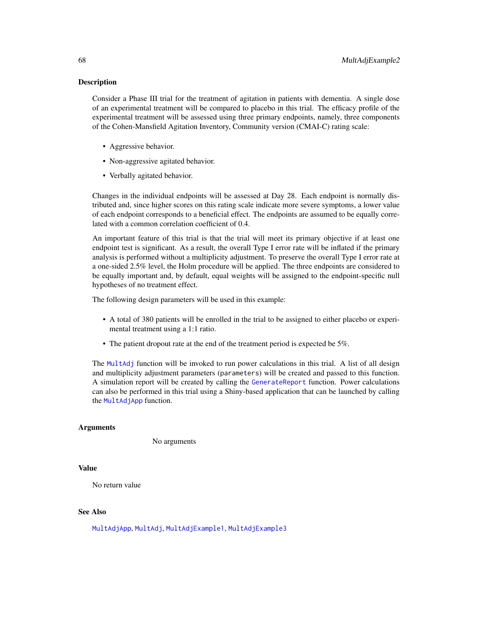### Description

Consider a Phase III trial for the treatment of agitation in patients with dementia. A single dose of an experimental treatment will be compared to placebo in this trial. The efficacy profile of the experimental treatment will be assessed using three primary endpoints, namely, three components of the Cohen-Mansfield Agitation Inventory, Community version (CMAI-C) rating scale:

- Aggressive behavior.
- Non-aggressive agitated behavior.
- Verbally agitated behavior.

Changes in the individual endpoints will be assessed at Day 28. Each endpoint is normally distributed and, since higher scores on this rating scale indicate more severe symptoms, a lower value of each endpoint corresponds to a beneficial effect. The endpoints are assumed to be equally correlated with a common correlation coefficient of 0.4.

An important feature of this trial is that the trial will meet its primary objective if at least one endpoint test is significant. As a result, the overall Type I error rate will be inflated if the primary analysis is performed without a multiplicity adjustment. To preserve the overall Type I error rate at a one-sided 2.5% level, the Holm procedure will be applied. The three endpoints are considered to be equally important and, by default, equal weights will be assigned to the endpoint-specific null hypotheses of no treatment effect.

The following design parameters will be used in this example:

- A total of 380 patients will be enrolled in the trial to be assigned to either placebo or experimental treatment using a 1:1 ratio.
- The patient dropout rate at the end of the treatment period is expected be 5%.

The [MultAdj](#page-61-0) function will be invoked to run power calculations in this trial. A list of all design and multiplicity adjustment parameters (parameters) will be created and passed to this function. A simulation report will be created by calling the [GenerateReport](#page-60-0) function. Power calculations can also be performed in this trial using a Shiny-based application that can be launched by calling the [MultAdjApp](#page-64-0) function.

#### Arguments

No arguments

## Value

No return value

# See Also

[MultAdjApp](#page-64-0), [MultAdj](#page-61-0), [MultAdjExample1](#page-65-0), [MultAdjExample3](#page-68-0)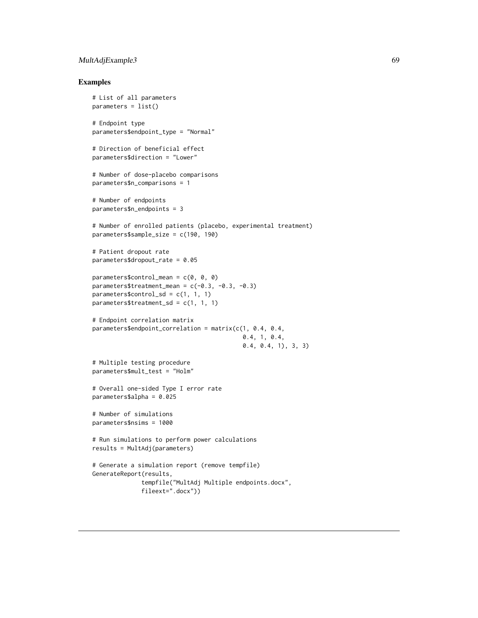## MultAdjExample3 69

### Examples

```
# List of all parameters
parameters = list()
# Endpoint type
parameters$endpoint_type = "Normal"
# Direction of beneficial effect
parameters$direction = "Lower"
# Number of dose-placebo comparisons
parameters$n_comparisons = 1
# Number of endpoints
parameters$n_endpoints = 3
# Number of enrolled patients (placebo, experimental treatment)
parameters$sample_size = c(190, 190)
# Patient dropout rate
parameters$dropout_rate = 0.05
parameters$control_mean = c(0, 0, 0)
parameters$treatment_mean = c(-0.3, -0.3, -0.3)parameters$control_sd = c(1, 1, 1)parameters$treatment_sd = c(1, 1, 1)# Endpoint correlation matrix
parameters$endpoint_correlation = matrix(c(1, 0.4, 0.4,
                                           0.4, 1, 0.4,
                                           0.4, 0.4, 1), 3, 3)
# Multiple testing procedure
parameters$mult_test = "Holm"
# Overall one-sided Type I error rate
parameters$alpha = 0.025
# Number of simulations
parameters$nsims = 1000
# Run simulations to perform power calculations
results = MultAdj(parameters)
# Generate a simulation report (remove tempfile)
GenerateReport(results,
              tempfile("MultAdj Multiple endpoints.docx",
              fileext=".docx"))
```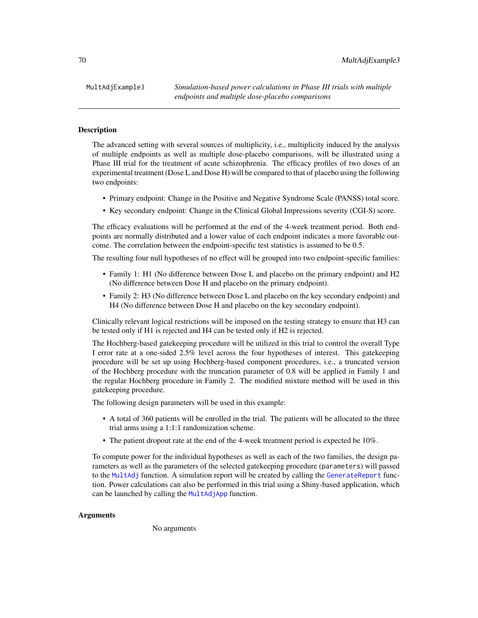#### Description

The advanced setting with several sources of multiplicity, i.e., multiplicity induced by the analysis of multiple endpoints as well as multiple dose-placebo comparisons, will be illustrated using a Phase III trial for the treatment of acute schizophrenia. The efficacy profiles of two doses of an experimental treatment (Dose L and Dose H) will be compared to that of placebo using the following two endpoints:

- Primary endpoint: Change in the Positive and Negative Syndrome Scale (PANSS) total score.
- Key secondary endpoint: Change in the Clinical Global Impressions severity (CGI-S) score.

The efficacy evaluations will be performed at the end of the 4-week treatment period. Both endpoints are normally distributed and a lower value of each endpoint indicates a more favorable outcome. The correlation between the endpoint-specific test statistics is assumed to be 0.5.

The resulting four null hypotheses of no effect will be grouped into two endpoint-specific families:

- Family 1: H1 (No difference between Dose L and placebo on the primary endpoint) and H2 (No difference between Dose H and placebo on the primary endpoint).
- Family 2: H3 (No difference between Dose L and placebo on the key secondary endpoint) and H4 (No difference between Dose H and placebo on the key secondary endpoint).

Clinically relevant logical restrictions will be imposed on the testing strategy to ensure that H3 can be tested only if H1 is rejected and H4 can be tested only if H2 is rejected.

The Hochberg-based gatekeeping procedure will be utilized in this trial to control the overall Type I error rate at a one-sided 2.5% level across the four hypotheses of interest. This gatekeeping procedure will be set up using Hochberg-based component procedures, i.e., a truncated version of the Hochberg procedure with the truncation parameter of 0.8 will be applied in Family 1 and the regular Hochberg procedure in Family 2. The modified mixture method will be used in this gatekeeping procedure.

The following design parameters will be used in this example:

- A total of 360 patients will be enrolled in the trial. The patients will be allocated to the three trial arms using a 1:1:1 randomization scheme.
- The patient dropout rate at the end of the 4-week treatment period is expected be 10%.

To compute power for the individual hypotheses as well as each of the two families, the design parameters as well as the parameters of the selected gatekeeping procedure (parameters) will passed to the [MultAdj](#page-61-0) function. A simulation report will be created by calling the [GenerateReport](#page-60-0) function. Power calculations can also be performed in this trial using a Shiny-based application, which can be launched by calling the [MultAdjApp](#page-64-0) function.

## Arguments

No arguments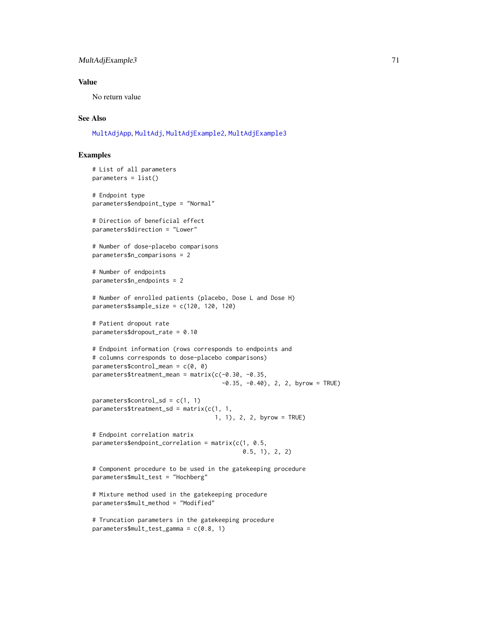## MultAdjExample3 71

## Value

No return value

## See Also

[MultAdjApp](#page-64-0), [MultAdj](#page-61-0), [MultAdjExample2](#page-66-0), [MultAdjExample3](#page-68-0)

# Examples

```
# List of all parameters
parameters = list()
# Endpoint type
parameters$endpoint_type = "Normal"
# Direction of beneficial effect
parameters$direction = "Lower"
# Number of dose-placebo comparisons
parameters$n_comparisons = 2
# Number of endpoints
parameters$n_endpoints = 2
# Number of enrolled patients (placebo, Dose L and Dose H)
parameters$sample_size = c(120, 120, 120)
# Patient dropout rate
parameters$dropout_rate = 0.10
# Endpoint information (rows corresponds to endpoints and
# columns corresponds to dose-placebo comparisons)
parameters$control_mean = c(0, 0)
parameters$treatment_mean = matrix(c(-0.30, -0.35,-0.35, -0.40, 2, 2, byrow = TRUE)
parameters$control_sd = c(1, 1)parameters$treatment_sd = matrix(c(1, 1, 1)1, 1), 2, 2, byrow = TRUE)
# Endpoint correlation matrix
parameters$endpoint_correlation = matrix(c(1, 0.5, 1)0.5, 1), 2, 2)
# Component procedure to be used in the gatekeeping procedure
parameters$mult_test = "Hochberg"
# Mixture method used in the gatekeeping procedure
parameters$mult_method = "Modified"
# Truncation parameters in the gatekeeping procedure
parameters$mult_test_gamma = c(0.8, 1)
```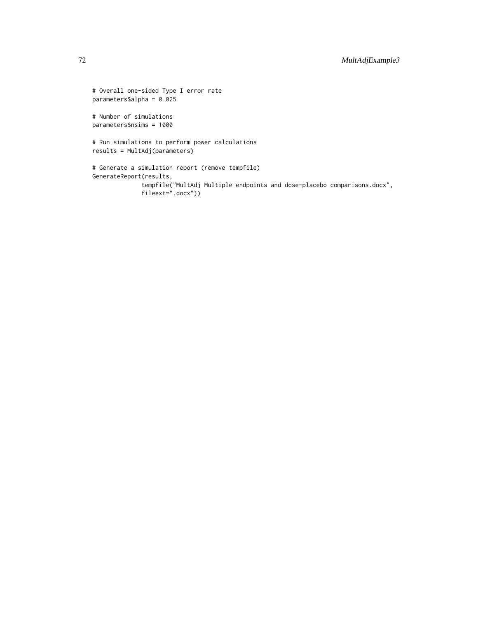```
# Overall one-sided Type I error rate
parameters$alpha = 0.025
# Number of simulations
parameters$nsims = 1000
# Run simulations to perform power calculations
results = MultAdj(parameters)
# Generate a simulation report (remove tempfile)
GenerateReport(results,
              tempfile("MultAdj Multiple endpoints and dose-placebo comparisons.docx",
             fileext=".docx"))
```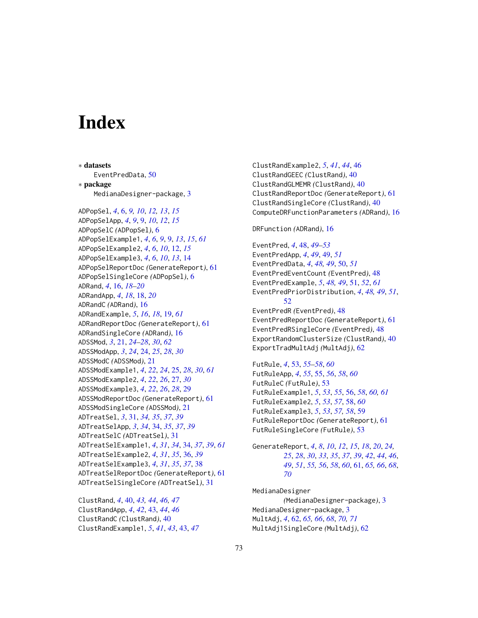## Index

∗ datasets EventPredData, [50](#page-49-0) ∗ package MedianaDesigner-package, [3](#page-2-0) ADPopSel, *[4](#page-3-0)*, [6,](#page-5-0) *[9,](#page-8-0) [10](#page-9-0)*, *[12,](#page-11-0) [13](#page-12-0)*, *[15](#page-14-0)* ADPopSelApp, *[4](#page-3-0)*, *[9](#page-8-0)*, [9,](#page-8-0) *[10](#page-9-0)*, *[12](#page-11-0)*, *[15](#page-14-0)* ADPopSelC *(*ADPopSel*)*, [6](#page-5-0) ADPopSelExample1, *[4](#page-3-0)*, *[6](#page-5-0)*, *[9](#page-8-0)*, [9,](#page-8-0) *[13](#page-12-0)*, *[15](#page-14-0)*, *[61](#page-60-0)* ADPopSelExample2, *[4](#page-3-0)*, *[6](#page-5-0)*, *[10](#page-9-0)*, [12,](#page-11-0) *[15](#page-14-0)* ADPopSelExample3, *[4](#page-3-0)*, *[6](#page-5-0)*, *[10](#page-9-0)*, *[13](#page-12-0)*, [14](#page-13-0) ADPopSelReportDoc *(*GenerateReport*)*, [61](#page-60-0) ADPopSelSingleCore *(*ADPopSel*)*, [6](#page-5-0) ADRand, *[4](#page-3-0)*, [16,](#page-15-0) *[18](#page-17-0)[–20](#page-19-0)* ADRandApp, *[4](#page-3-0)*, *[18](#page-17-0)*, [18,](#page-17-0) *[20](#page-19-0)* ADRandC *(*ADRand*)*, [16](#page-15-0) ADRandExample, *[5](#page-4-0)*, *[16](#page-15-0)*, *[18](#page-17-0)*, [19,](#page-18-0) *[61](#page-60-0)* ADRandReportDoc *(*GenerateReport*)*, [61](#page-60-0) ADRandSingleCore *(*ADRand*)*, [16](#page-15-0) ADSSMod, *[3](#page-2-0)*, [21,](#page-20-0) *[24](#page-23-0)[–28](#page-27-0)*, *[30](#page-29-0)*, *[62](#page-61-0)* ADSSModApp, *[3](#page-2-0)*, *[24](#page-23-0)*, [24,](#page-23-0) *[25](#page-24-0)*, *[28](#page-27-0)*, *[30](#page-29-0)* ADSSModC *(*ADSSMod*)*, [21](#page-20-0) ADSSModExample1, *[4](#page-3-0)*, *[22](#page-21-0)*, *[24](#page-23-0)*, [25,](#page-24-0) *[28](#page-27-0)*, *[30](#page-29-0)*, *[61](#page-60-0)* ADSSModExample2, *[4](#page-3-0)*, *[22](#page-21-0)*, *[26](#page-25-0)*, [27,](#page-26-0) *[30](#page-29-0)* ADSSModExample3, *[4](#page-3-0)*, *[22](#page-21-0)*, *[26](#page-25-0)*, *[28](#page-27-0)*, [29](#page-28-0) ADSSModReportDoc *(*GenerateReport*)*, [61](#page-60-0) ADSSModSingleCore *(*ADSSMod*)*, [21](#page-20-0) ADTreatSel, *[3](#page-2-0)*, [31,](#page-30-0) *[34,](#page-33-0) [35](#page-34-0)*, *[37](#page-36-0)*, *[39](#page-38-0)* ADTreatSelApp, *[3](#page-2-0)*, *[34](#page-33-0)*, [34,](#page-33-0) *[35](#page-34-0)*, *[37](#page-36-0)*, *[39](#page-38-0)* ADTreatSelC *(*ADTreatSel*)*, [31](#page-30-0) ADTreatSelExample1, *[4](#page-3-0)*, *[31](#page-30-0)*, *[34](#page-33-0)*, [34,](#page-33-0) *[37](#page-36-0)*, *[39](#page-38-0)*, *[61](#page-60-0)* ADTreatSelExample2, *[4](#page-3-0)*, *[31](#page-30-0)*, *[35](#page-34-0)*, [36,](#page-35-0) *[39](#page-38-0)* ADTreatSelExample3, *[4](#page-3-0)*, *[31](#page-30-0)*, *[35](#page-34-0)*, *[37](#page-36-0)*, [38](#page-37-0) ADTreatSelReportDoc *(*GenerateReport*)*, [61](#page-60-0) ADTreatSelSingleCore *(*ADTreatSel*)*, [31](#page-30-0)

ClustRand, *[4](#page-3-0)*, [40,](#page-39-0) *[43,](#page-42-0) [44](#page-43-0)*, *[46,](#page-45-0) [47](#page-46-0)* ClustRandApp, *[4](#page-3-0)*, *[42](#page-41-0)*, [43,](#page-42-0) *[44](#page-43-0)*, *[46](#page-45-0)* ClustRandC *(*ClustRand*)*, [40](#page-39-0) ClustRandExample1, *[5](#page-4-0)*, *[41](#page-40-0)*, *[43](#page-42-0)*, [43,](#page-42-0) *[47](#page-46-0)* ClustRandExample2, *[5](#page-4-0)*, *[41](#page-40-0)*, *[44](#page-43-0)*, [46](#page-45-0) ClustRandGEEC *(*ClustRand*)*, [40](#page-39-0) ClustRandGLMEMR *(*ClustRand*)*, [40](#page-39-0) ClustRandReportDoc *(*GenerateReport*)*, [61](#page-60-0) ClustRandSingleCore *(*ClustRand*)*, [40](#page-39-0) ComputeDRFunctionParameters *(*ADRand*)*, [16](#page-15-0)

DRFunction *(*ADRand*)*, [16](#page-15-0)

EventPred, *[4](#page-3-0)*, [48,](#page-47-0) *[49](#page-48-0)[–53](#page-52-0)* EventPredApp, *[4](#page-3-0)*, *[49](#page-48-0)*, [49,](#page-48-0) *[51](#page-50-0)* EventPredData, *[4](#page-3-0)*, *[48,](#page-47-0) [49](#page-48-0)*, [50,](#page-49-0) *[51](#page-50-0)* EventPredEventCount *(*EventPred*)*, [48](#page-47-0) EventPredExample, *[5](#page-4-0)*, *[48,](#page-47-0) [49](#page-48-0)*, [51,](#page-50-0) *[52](#page-51-0)*, *[61](#page-60-0)* EventPredPriorDistribution, *[4](#page-3-0)*, *[48,](#page-47-0) [49](#page-48-0)*, *[51](#page-50-0)*, [52](#page-51-0) EventPredR *(*EventPred*)*, [48](#page-47-0) EventPredReportDoc *(*GenerateReport*)*, [61](#page-60-0) EventPredRSingleCore *(*EventPred*)*, [48](#page-47-0) ExportRandomClusterSize *(*ClustRand*)*, [40](#page-39-0) ExportTradMultAdj *(*MultAdj*)*, [62](#page-61-0)

FutRule, *[4](#page-3-0)*, [53,](#page-52-0) *[55](#page-54-0)[–58](#page-57-0)*, *[60](#page-59-0)* FutRuleApp, *[4](#page-3-0)*, *[55](#page-54-0)*, [55,](#page-54-0) *[56](#page-55-0)*, *[58](#page-57-0)*, *[60](#page-59-0)* FutRuleC *(*FutRule*)*, [53](#page-52-0) FutRuleExample1, *[5](#page-4-0)*, *[53](#page-52-0)*, *[55](#page-54-0)*, [56,](#page-55-0) *[58](#page-57-0)*, *[60,](#page-59-0) [61](#page-60-0)* FutRuleExample2, *[5](#page-4-0)*, *[53](#page-52-0)*, *[57](#page-56-0)*, [58,](#page-57-0) *[60](#page-59-0)* FutRuleExample3, *[5](#page-4-0)*, *[53](#page-52-0)*, *[57,](#page-56-0) [58](#page-57-0)*, [59](#page-58-0) FutRuleReportDoc *(*GenerateReport*)*, [61](#page-60-0) FutRuleSingleCore *(*FutRule*)*, [53](#page-52-0)

GenerateReport, *[4](#page-3-0)*, *[8](#page-7-0)*, *[10](#page-9-0)*, *[12](#page-11-0)*, *[15](#page-14-0)*, *[18](#page-17-0)*, *[20](#page-19-0)*, *[24,](#page-23-0) [25](#page-24-0)*, *[28](#page-27-0)*, *[30](#page-29-0)*, *[33](#page-32-0)*, *[35](#page-34-0)*, *[37](#page-36-0)*, *[39](#page-38-0)*, *[42](#page-41-0)*, *[44](#page-43-0)*, *[46](#page-45-0)*, *[49](#page-48-0)*, *[51](#page-50-0)*, *[55,](#page-54-0) [56](#page-55-0)*, *[58](#page-57-0)*, *[60](#page-59-0)*, [61,](#page-60-0) *[65,](#page-64-0) [66](#page-65-0)*, *[68](#page-67-0)*, *[70](#page-69-0)*

MedianaDesigner *(*MedianaDesigner-package*)*, [3](#page-2-0) MedianaDesigner-package, [3](#page-2-0) MultAdj, *[4](#page-3-0)*, [62,](#page-61-0) *[65,](#page-64-0) [66](#page-65-0)*, *[68](#page-67-0)*, *[70,](#page-69-0) [71](#page-70-0)* MultAdj1SingleCore *(*MultAdj*)*, [62](#page-61-0)